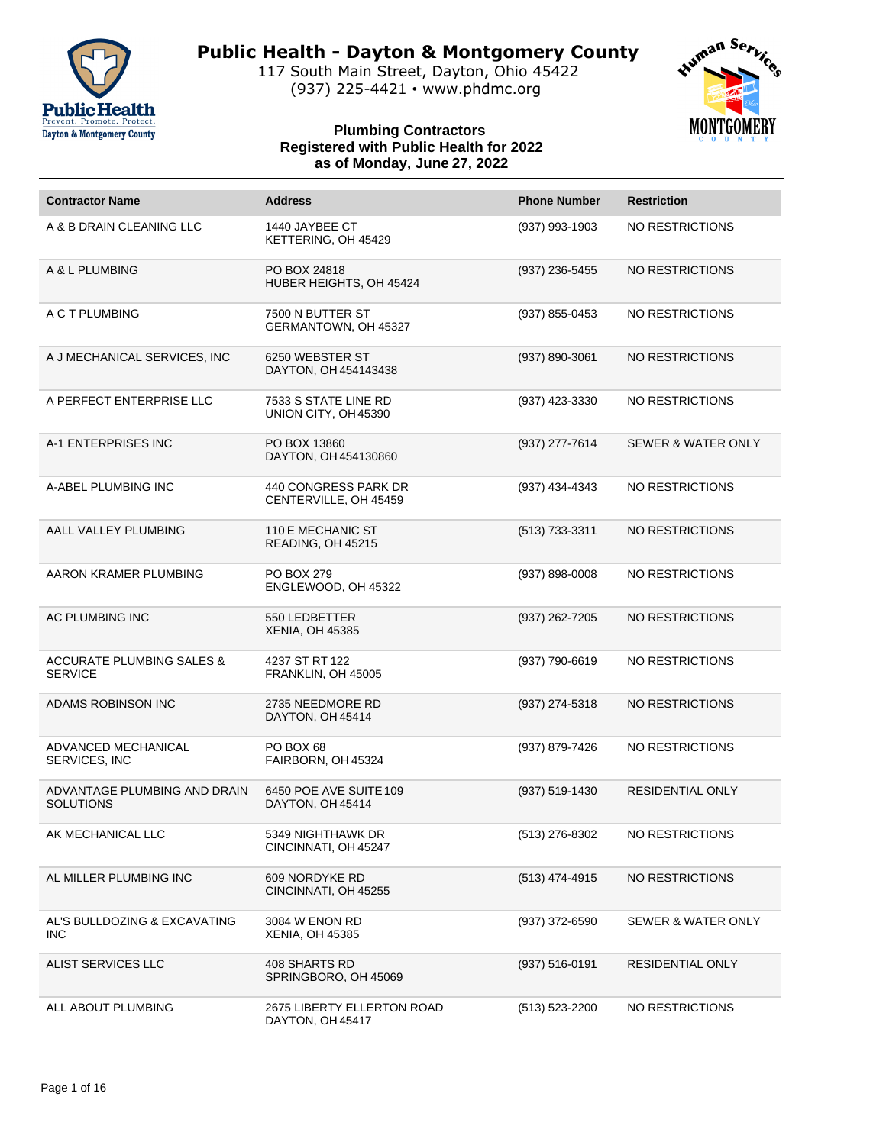

117 South Main Street, Dayton, Ohio 45422 (937) 225-4421 • www.phdmc.org



| <b>Contractor Name</b>                                 | <b>Address</b>                                        | <b>Phone Number</b> | <b>Restriction</b>            |
|--------------------------------------------------------|-------------------------------------------------------|---------------------|-------------------------------|
| A & B DRAIN CLEANING LLC                               | 1440 JAYBEE CT<br>KETTERING, OH 45429                 | (937) 993-1903      | NO RESTRICTIONS               |
| A & L PLUMBING                                         | PO BOX 24818<br>HUBER HEIGHTS, OH 45424               | (937) 236-5455      | NO RESTRICTIONS               |
| A C T PLUMBING                                         | 7500 N BUTTER ST<br>GERMANTOWN, OH 45327              | (937) 855-0453      | NO RESTRICTIONS               |
| A J MECHANICAL SERVICES, INC                           | 6250 WEBSTER ST<br>DAYTON, OH 454143438               | (937) 890-3061      | NO RESTRICTIONS               |
| A PERFECT ENTERPRISE LLC                               | 7533 S STATE LINE RD<br>UNION CITY, OH 45390          | (937) 423-3330      | NO RESTRICTIONS               |
| A-1 ENTERPRISES INC                                    | PO BOX 13860<br>DAYTON, OH 454130860                  | (937) 277-7614      | <b>SEWER &amp; WATER ONLY</b> |
| A-ABEL PLUMBING INC                                    | 440 CONGRESS PARK DR<br>CENTERVILLE, OH 45459         | (937) 434-4343      | NO RESTRICTIONS               |
| AALL VALLEY PLUMBING                                   | 110 E MECHANIC ST<br>READING, OH 45215                | $(513)$ 733-3311    | NO RESTRICTIONS               |
| AARON KRAMER PLUMBING                                  | <b>PO BOX 279</b><br>ENGLEWOOD, OH 45322              | (937) 898-0008      | NO RESTRICTIONS               |
| AC PLUMBING INC                                        | 550 LEDBETTER<br><b>XENIA, OH 45385</b>               | (937) 262-7205      | NO RESTRICTIONS               |
| <b>ACCURATE PLUMBING SALES &amp;</b><br><b>SERVICE</b> | 4237 ST RT 122<br>FRANKLIN, OH 45005                  | (937) 790-6619      | NO RESTRICTIONS               |
| ADAMS ROBINSON INC                                     | 2735 NEEDMORE RD<br>DAYTON, OH 45414                  | (937) 274-5318      | NO RESTRICTIONS               |
| ADVANCED MECHANICAL<br>SERVICES, INC                   | PO BOX 68<br>FAIRBORN, OH 45324                       | (937) 879-7426      | NO RESTRICTIONS               |
| ADVANTAGE PLUMBING AND DRAIN<br><b>SOLUTIONS</b>       | 6450 POE AVE SUITE 109<br>DAYTON, OH 45414            | (937) 519-1430      | <b>RESIDENTIAL ONLY</b>       |
| AK MECHANICAL LLC                                      | 5349 NIGHTHAWK DR<br>CINCINNATI, OH 45247             | (513) 276-8302      | NO RESTRICTIONS               |
| AL MILLER PLUMBING INC                                 | 609 NORDYKE RD<br>CINCINNATI, OH 45255                | (513) 474-4915      | NO RESTRICTIONS               |
| AL'S BULLDOZING & EXCAVATING<br><b>INC</b>             | 3084 W ENON RD<br><b>XENIA, OH 45385</b>              | $(937)$ 372-6590    | SEWER & WATER ONLY            |
| ALIST SERVICES LLC                                     | <b>408 SHARTS RD</b><br>SPRINGBORO, OH 45069          | (937) 516-0191      | RESIDENTIAL ONLY              |
| ALL ABOUT PLUMBING                                     | <b>2675 LIBERTY ELLERTON ROAD</b><br>DAYTON, OH 45417 | (513) 523-2200      | NO RESTRICTIONS               |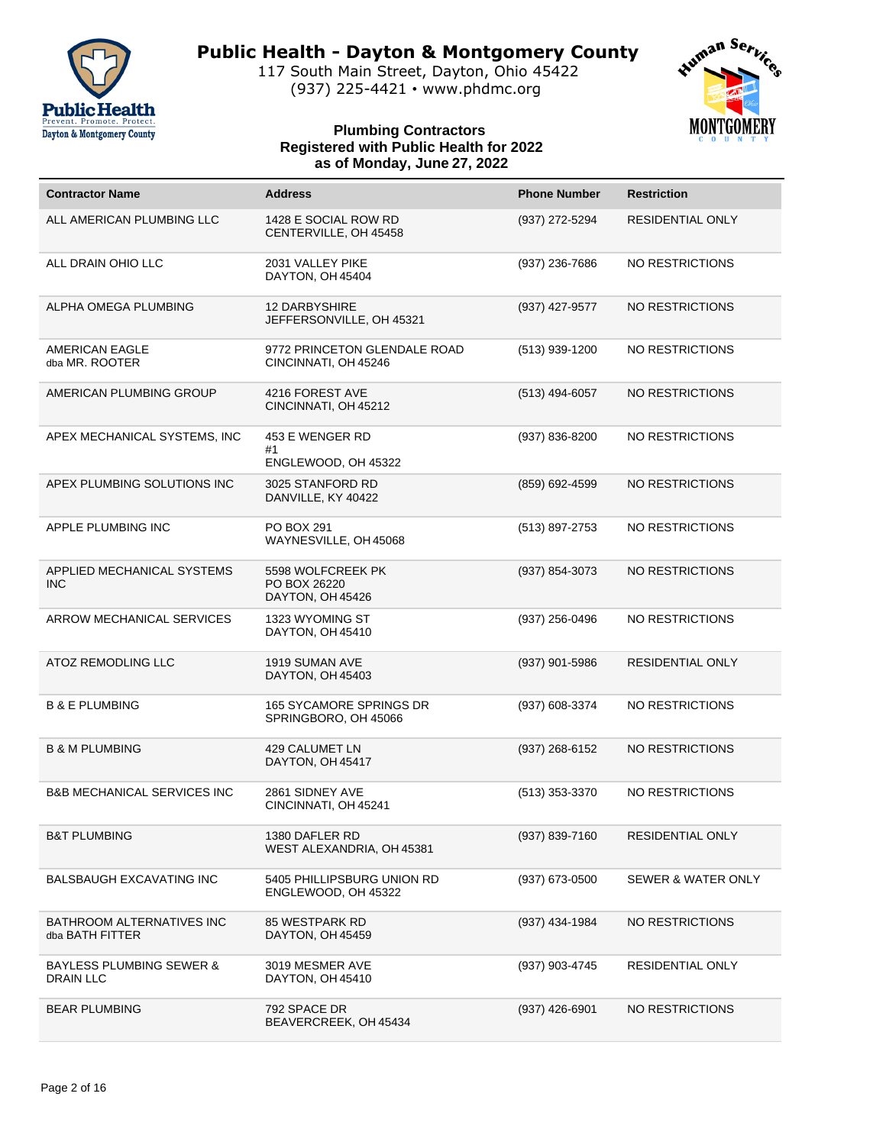

117 South Main Street, Dayton, Ohio 45422 (937) 225-4421 • www.phdmc.org



| <b>Contractor Name</b>                                  | <b>Address</b>                                        | <b>Phone Number</b> | <b>Restriction</b>            |
|---------------------------------------------------------|-------------------------------------------------------|---------------------|-------------------------------|
| ALL AMERICAN PLUMBING LLC                               | 1428 E SOCIAL ROW RD<br>CENTERVILLE, OH 45458         | (937) 272-5294      | RESIDENTIAL ONLY              |
| ALL DRAIN OHIO LLC                                      | 2031 VALLEY PIKE<br>DAYTON, OH 45404                  | (937) 236-7686      | NO RESTRICTIONS               |
| ALPHA OMEGA PLUMBING                                    | <b>12 DARBYSHIRE</b><br>JEFFERSONVILLE, OH 45321      | (937) 427-9577      | NO RESTRICTIONS               |
| AMERICAN EAGLE<br>dba MR. ROOTER                        | 9772 PRINCETON GLENDALE ROAD<br>CINCINNATI, OH 45246  | (513) 939-1200      | NO RESTRICTIONS               |
| AMERICAN PLUMBING GROUP                                 | 4216 FOREST AVE<br>CINCINNATI, OH 45212               | (513) 494-6057      | NO RESTRICTIONS               |
| APEX MECHANICAL SYSTEMS, INC                            | 453 E WENGER RD<br>#1<br>ENGLEWOOD, OH 45322          | (937) 836-8200      | NO RESTRICTIONS               |
| APEX PLUMBING SOLUTIONS INC                             | 3025 STANFORD RD<br>DANVILLE, KY 40422                | (859) 692-4599      | <b>NO RESTRICTIONS</b>        |
| APPLE PLUMBING INC                                      | PO BOX 291<br>WAYNESVILLE, OH 45068                   | (513) 897-2753      | NO RESTRICTIONS               |
| APPLIED MECHANICAL SYSTEMS<br><b>INC</b>                | 5598 WOLFCREEK PK<br>PO BOX 26220<br>DAYTON, OH 45426 | (937) 854-3073      | NO RESTRICTIONS               |
| ARROW MECHANICAL SERVICES                               | 1323 WYOMING ST<br>DAYTON, OH 45410                   | (937) 256-0496      | NO RESTRICTIONS               |
| ATOZ REMODLING LLC                                      | 1919 SUMAN AVE<br>DAYTON, OH 45403                    | (937) 901-5986      | RESIDENTIAL ONLY              |
| <b>B &amp; E PLUMBING</b>                               | 165 SYCAMORE SPRINGS DR<br>SPRINGBORO, OH 45066       | (937) 608-3374      | NO RESTRICTIONS               |
| <b>B &amp; M PLUMBING</b>                               | 429 CALUMET LN<br>DAYTON, OH 45417                    | (937) 268-6152      | NO RESTRICTIONS               |
| <b>B&amp;B MECHANICAL SERVICES INC</b>                  | 2861 SIDNEY AVE<br>CINCINNATI, OH 45241               | $(513)$ 353-3370    | NO RESTRICTIONS               |
| <b>B&amp;T PLUMBING</b>                                 | 1380 DAFLER RD<br>WEST ALEXANDRIA, OH 45381           | (937) 839-7160      | RESIDENTIAL ONLY              |
| <b>BALSBAUGH EXCAVATING INC</b>                         | 5405 PHILLIPSBURG UNION RD<br>ENGLEWOOD, OH 45322     | (937) 673-0500      | <b>SEWER &amp; WATER ONLY</b> |
| BATHROOM ALTERNATIVES INC<br>dba BATH FITTER            | 85 WESTPARK RD<br>DAYTON, OH 45459                    | (937) 434-1984      | NO RESTRICTIONS               |
| <b>BAYLESS PLUMBING SEWER &amp;</b><br><b>DRAIN LLC</b> | 3019 MESMER AVE<br>DAYTON, OH 45410                   | (937) 903-4745      | RESIDENTIAL ONLY              |
| <b>BEAR PLUMBING</b>                                    | 792 SPACE DR<br>BEAVERCREEK, OH 45434                 | $(937)$ 426-6901    | NO RESTRICTIONS               |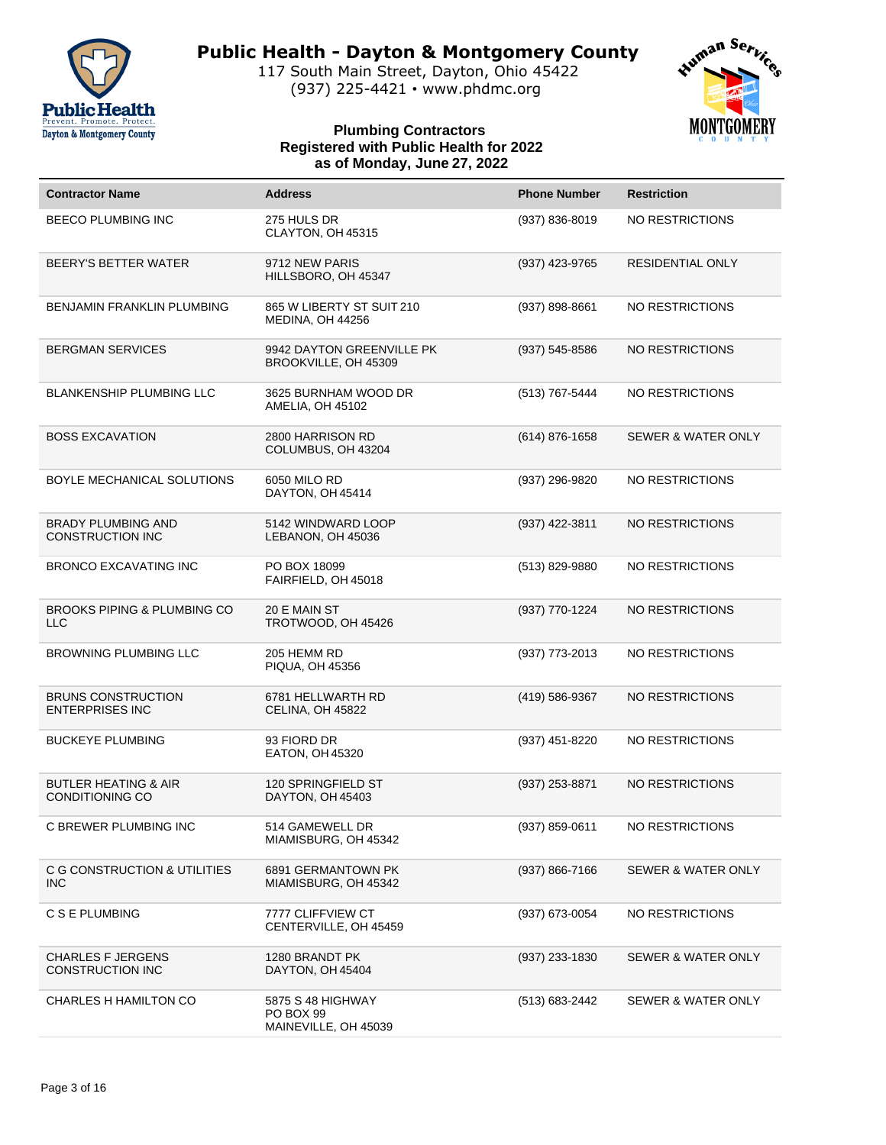

117 South Main Street, Dayton, Ohio 45422 (937) 225-4421 • www.phdmc.org



| <b>Contractor Name</b>                                    | <b>Address</b>                                         | <b>Phone Number</b> | <b>Restriction</b>            |
|-----------------------------------------------------------|--------------------------------------------------------|---------------------|-------------------------------|
| BEECO PLUMBING INC                                        | 275 HULS DR<br>CLAYTON, OH 45315                       | $(937) 836 - 8019$  | NO RESTRICTIONS               |
| BEERY'S BETTER WATER                                      | 9712 NEW PARIS<br>HILLSBORO, OH 45347                  | (937) 423-9765      | RESIDENTIAL ONLY              |
| BENJAMIN FRANKLIN PLUMBING                                | 865 W LIBERTY ST SUIT 210<br>MEDINA, OH 44256          | (937) 898-8661      | NO RESTRICTIONS               |
| <b>BERGMAN SERVICES</b>                                   | 9942 DAYTON GREENVILLE PK<br>BROOKVILLE, OH 45309      | $(937) 545 - 8586$  | NO RESTRICTIONS               |
| <b>BLANKENSHIP PLUMBING LLC</b>                           | 3625 BURNHAM WOOD DR<br>AMELIA, OH 45102               | (513) 767-5444      | NO RESTRICTIONS               |
| <b>BOSS EXCAVATION</b>                                    | 2800 HARRISON RD<br>COLUMBUS, OH 43204                 | (614) 876-1658      | SEWER & WATER ONLY            |
| BOYLE MECHANICAL SOLUTIONS                                | 6050 MILO RD<br>DAYTON, OH 45414                       | (937) 296-9820      | NO RESTRICTIONS               |
| <b>BRADY PLUMBING AND</b><br><b>CONSTRUCTION INC</b>      | 5142 WINDWARD LOOP<br>LEBANON, OH 45036                | (937) 422-3811      | NO RESTRICTIONS               |
| <b>BRONCO EXCAVATING INC</b>                              | PO BOX 18099<br>FAIRFIELD, OH 45018                    | (513) 829-9880      | NO RESTRICTIONS               |
| BROOKS PIPING & PLUMBING CO<br><b>LLC</b>                 | 20 E MAIN ST<br>TROTWOOD, OH 45426                     | (937) 770-1224      | NO RESTRICTIONS               |
| <b>BROWNING PLUMBING LLC</b>                              | 205 HEMM RD<br>PIQUA, OH 45356                         | (937) 773-2013      | NO RESTRICTIONS               |
| <b>BRUNS CONSTRUCTION</b><br><b>ENTERPRISES INC</b>       | 6781 HELLWARTH RD<br>CELINA, OH 45822                  | (419) 586-9367      | NO RESTRICTIONS               |
| <b>BUCKEYE PLUMBING</b>                                   | 93 FIORD DR<br><b>EATON, OH 45320</b>                  | (937) 451-8220      | NO RESTRICTIONS               |
| <b>BUTLER HEATING &amp; AIR</b><br><b>CONDITIONING CO</b> | 120 SPRINGFIELD ST<br>DAYTON, OH 45403                 | $(937)$ 253-8871    | NO RESTRICTIONS               |
| C BREWER PLUMBING INC                                     | 514 GAMEWELL DR<br>MIAMISBURG, OH 45342                | (937) 859-0611      | NO RESTRICTIONS               |
| C G CONSTRUCTION & UTILITIES<br><b>INC</b>                | 6891 GERMANTOWN PK<br>MIAMISBURG, OH 45342             | $(937) 866 - 7166$  | <b>SEWER &amp; WATER ONLY</b> |
| C S E PLUMBING                                            | 7777 CLIFFVIEW CT<br>CENTERVILLE, OH 45459             | (937) 673-0054      | NO RESTRICTIONS               |
| CHARLES F JERGENS<br>CONSTRUCTION INC                     | 1280 BRANDT PK<br>DAYTON, OH 45404                     | $(937)$ 233-1830    | SEWER & WATER ONLY            |
| CHARLES H HAMILTON CO                                     | 5875 S 48 HIGHWAY<br>PO BOX 99<br>MAINEVILLE, OH 45039 | (513) 683-2442      | SEWER & WATER ONLY            |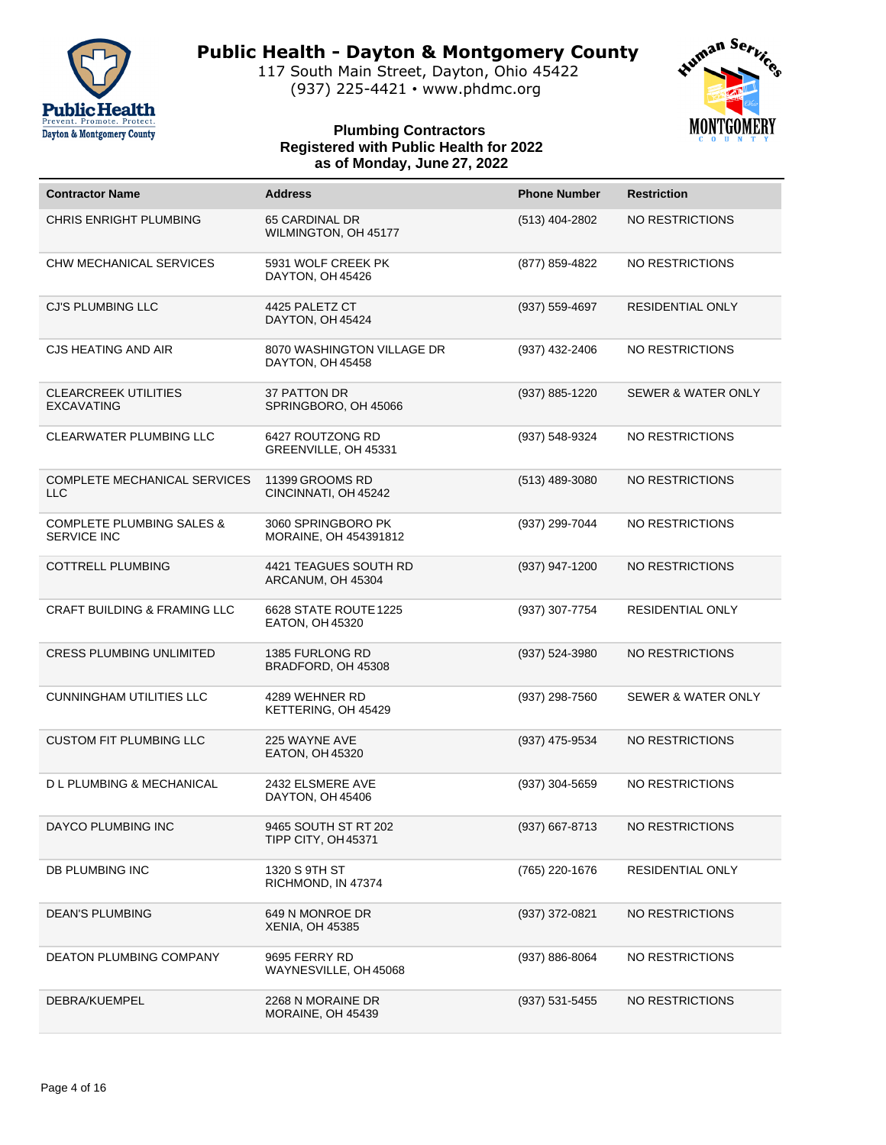

117 South Main Street, Dayton, Ohio 45422 (937) 225-4421 • www.phdmc.org



| <b>Contractor Name</b>                                     | <b>Address</b>                                 | <b>Phone Number</b> | <b>Restriction</b>            |
|------------------------------------------------------------|------------------------------------------------|---------------------|-------------------------------|
| <b>CHRIS ENRIGHT PLUMBING</b>                              | 65 CARDINAL DR<br>WILMINGTON, OH 45177         | (513) 404-2802      | NO RESTRICTIONS               |
| CHW MECHANICAL SERVICES                                    | 5931 WOLF CREEK PK<br>DAYTON, OH 45426         | (877) 859-4822      | NO RESTRICTIONS               |
| CJ'S PLUMBING LLC                                          | 4425 PALETZ CT<br>DAYTON, OH 45424             | (937) 559-4697      | <b>RESIDENTIAL ONLY</b>       |
| <b>CJS HEATING AND AIR</b>                                 | 8070 WASHINGTON VILLAGE DR<br>DAYTON, OH 45458 | (937) 432-2406      | NO RESTRICTIONS               |
| <b>CLEARCREEK UTILITIES</b><br><b>EXCAVATING</b>           | 37 PATTON DR<br>SPRINGBORO, OH 45066           | (937) 885-1220      | <b>SEWER &amp; WATER ONLY</b> |
| CLEARWATER PLUMBING LLC                                    | 6427 ROUTZONG RD<br>GREENVILLE, OH 45331       | (937) 548-9324      | NO RESTRICTIONS               |
| COMPLETE MECHANICAL SERVICES<br><b>LLC</b>                 | 11399 GROOMS RD<br>CINCINNATI, OH 45242        | (513) 489-3080      | NO RESTRICTIONS               |
| <b>COMPLETE PLUMBING SALES &amp;</b><br><b>SERVICE INC</b> | 3060 SPRINGBORO PK<br>MORAINE, OH 454391812    | (937) 299-7044      | NO RESTRICTIONS               |
| <b>COTTRELL PLUMBING</b>                                   | 4421 TEAGUES SOUTH RD<br>ARCANUM, OH 45304     | (937) 947-1200      | <b>NO RESTRICTIONS</b>        |
| <b>CRAFT BUILDING &amp; FRAMING LLC</b>                    | 6628 STATE ROUTE 1225<br>EATON, OH 45320       | (937) 307-7754      | RESIDENTIAL ONLY              |
| <b>CRESS PLUMBING UNLIMITED</b>                            | 1385 FURLONG RD<br>BRADFORD, OH 45308          | (937) 524-3980      | NO RESTRICTIONS               |
| <b>CUNNINGHAM UTILITIES LLC</b>                            | 4289 WEHNER RD<br>KETTERING, OH 45429          | (937) 298-7560      | <b>SEWER &amp; WATER ONLY</b> |
| <b>CUSTOM FIT PLUMBING LLC</b>                             | 225 WAYNE AVE<br>EATON, OH 45320               | (937) 475-9534      | NO RESTRICTIONS               |
| <b>DL PLUMBING &amp; MECHANICAL</b>                        | 2432 ELSMERE AVE<br>DAYTON, OH 45406           | (937) 304-5659      | NO RESTRICTIONS               |
| DAYCO PLUMBING INC                                         | 9465 SOUTH ST RT 202<br>TIPP CITY, OH 45371    | (937) 667-8713      | NO RESTRICTIONS               |
| DB PLUMBING INC                                            | 1320 S 9TH ST<br>RICHMOND, IN 47374            | (765) 220-1676      | RESIDENTIAL ONLY              |
| <b>DEAN'S PLUMBING</b>                                     | 649 N MONROE DR<br><b>XENIA, OH 45385</b>      | (937) 372-0821      | NO RESTRICTIONS               |
| <b>DEATON PLUMBING COMPANY</b>                             | 9695 FERRY RD<br>WAYNESVILLE, OH 45068         | (937) 886-8064      | NO RESTRICTIONS               |
| DEBRA/KUEMPEL                                              | 2268 N MORAINE DR<br>MORAINE, OH 45439         | (937) 531-5455      | NO RESTRICTIONS               |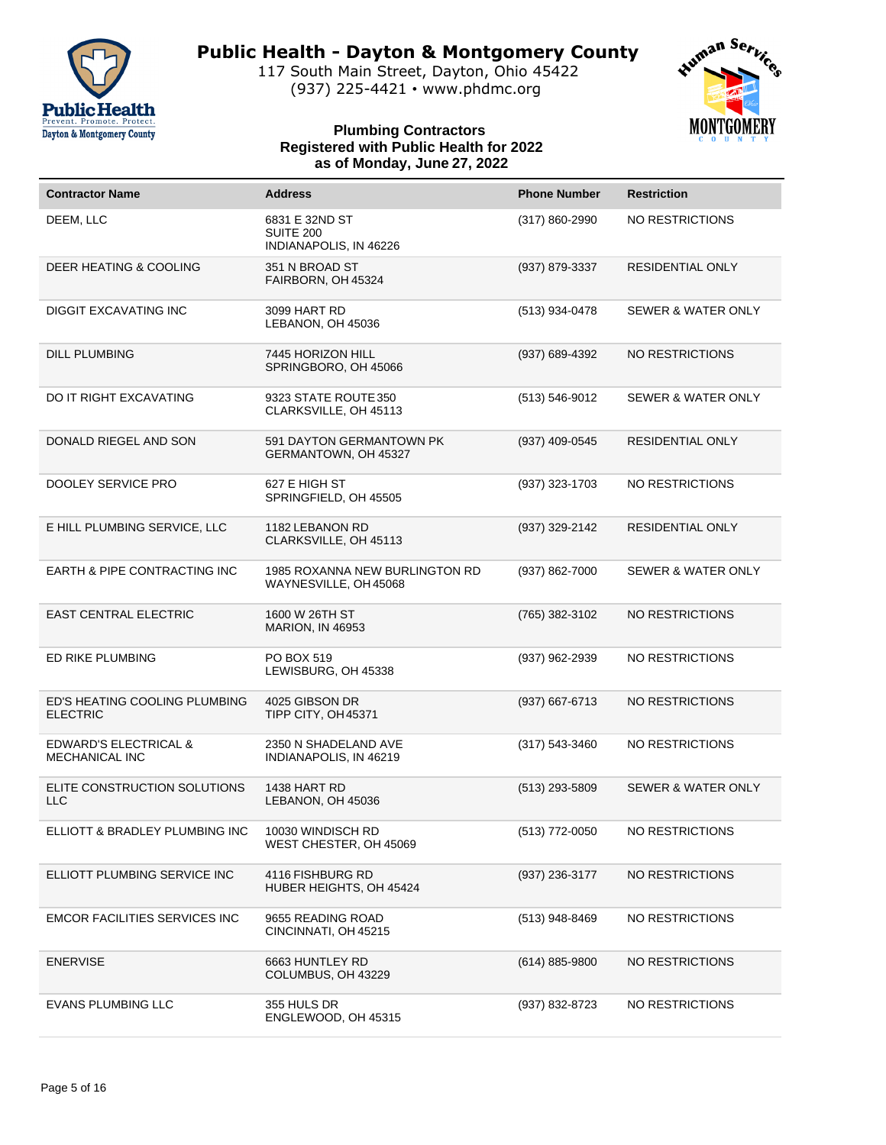

117 South Main Street, Dayton, Ohio 45422 (937) 225-4421 • www.phdmc.org



| <b>Contractor Name</b>                                    | <b>Address</b>                                          | <b>Phone Number</b> | <b>Restriction</b>            |
|-----------------------------------------------------------|---------------------------------------------------------|---------------------|-------------------------------|
| DEEM, LLC                                                 | 6831 E 32ND ST<br>SUITE 200<br>INDIANAPOLIS, IN 46226   | (317) 860-2990      | NO RESTRICTIONS               |
| DEER HEATING & COOLING                                    | 351 N BROAD ST<br>FAIRBORN, OH 45324                    | (937) 879-3337      | RESIDENTIAL ONLY              |
| <b>DIGGIT EXCAVATING INC</b>                              | 3099 HART RD<br>LEBANON, OH 45036                       | (513) 934-0478      | <b>SEWER &amp; WATER ONLY</b> |
| <b>DILL PLUMBING</b>                                      | 7445 HORIZON HILL<br>SPRINGBORO, OH 45066               | (937) 689-4392      | NO RESTRICTIONS               |
| DO IT RIGHT EXCAVATING                                    | 9323 STATE ROUTE 350<br>CLARKSVILLE, OH 45113           | $(513) 546 - 9012$  | <b>SEWER &amp; WATER ONLY</b> |
| DONALD RIEGEL AND SON                                     | 591 DAYTON GERMANTOWN PK<br>GERMANTOWN, OH 45327        | (937) 409-0545      | RESIDENTIAL ONLY              |
| DOOLEY SERVICE PRO                                        | 627 E HIGH ST<br>SPRINGFIELD, OH 45505                  | (937) 323-1703      | NO RESTRICTIONS               |
| E HILL PLUMBING SERVICE, LLC                              | 1182 LEBANON RD<br>CLARKSVILLE, OH 45113                | (937) 329-2142      | RESIDENTIAL ONLY              |
| EARTH & PIPE CONTRACTING INC                              | 1985 ROXANNA NEW BURLINGTON RD<br>WAYNESVILLE, OH 45068 | (937) 862-7000      | <b>SEWER &amp; WATER ONLY</b> |
| <b>EAST CENTRAL ELECTRIC</b>                              | 1600 W 26TH ST<br><b>MARION, IN 46953</b>               | (765) 382-3102      | NO RESTRICTIONS               |
| ED RIKE PLUMBING                                          | PO BOX 519<br>LEWISBURG, OH 45338                       | (937) 962-2939      | NO RESTRICTIONS               |
| ED'S HEATING COOLING PLUMBING<br><b>ELECTRIC</b>          | 4025 GIBSON DR<br>TIPP CITY, OH 45371                   | $(937)$ 667-6713    | NO RESTRICTIONS               |
| <b>EDWARD'S ELECTRICAL &amp;</b><br><b>MECHANICAL INC</b> | 2350 N SHADELAND AVE<br>INDIANAPOLIS, IN 46219          | $(317) 543 - 3460$  | NO RESTRICTIONS               |
| ELITE CONSTRUCTION SOLUTIONS<br><b>LLC</b>                | 1438 HART RD<br>LEBANON, OH 45036                       | $(513)$ 293-5809    | <b>SEWER &amp; WATER ONLY</b> |
| ELLIOTT & BRADLEY PLUMBING INC                            | 10030 WINDISCH RD<br>WEST CHESTER, OH 45069             | (513) 772-0050      | NO RESTRICTIONS               |
| ELLIOTT PLUMBING SERVICE INC                              | 4116 FISHBURG RD<br>HUBER HEIGHTS, OH 45424             | (937) 236-3177      | NO RESTRICTIONS               |
| <b>EMCOR FACILITIES SERVICES INC</b>                      | 9655 READING ROAD<br>CINCINNATI, OH 45215               | (513) 948-8469      | NO RESTRICTIONS               |
| <b>ENERVISE</b>                                           | 6663 HUNTLEY RD<br>COLUMBUS, OH 43229                   | $(614) 885 - 9800$  | NO RESTRICTIONS               |
| <b>EVANS PLUMBING LLC</b>                                 | 355 HULS DR<br>ENGLEWOOD, OH 45315                      | (937) 832-8723      | NO RESTRICTIONS               |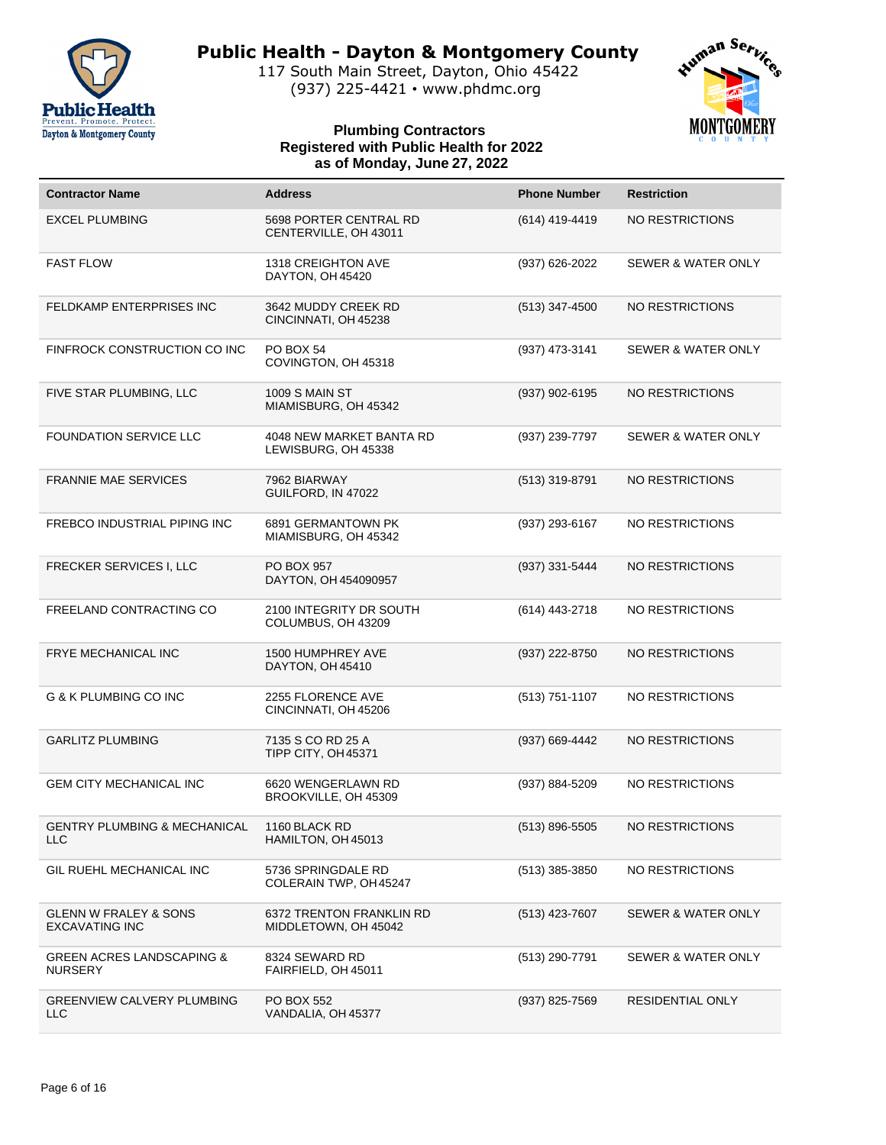

117 South Main Street, Dayton, Ohio 45422 (937) 225-4421 • www.phdmc.org



| <b>Contractor Name</b>                                    | <b>Address</b>                                   | <b>Phone Number</b> | <b>Restriction</b>            |
|-----------------------------------------------------------|--------------------------------------------------|---------------------|-------------------------------|
| <b>EXCEL PLUMBING</b>                                     | 5698 PORTER CENTRAL RD<br>CENTERVILLE, OH 43011  | (614) 419-4419      | NO RESTRICTIONS               |
| <b>FAST FLOW</b>                                          | 1318 CREIGHTON AVE<br>DAYTON, OH 45420           | (937) 626-2022      | <b>SEWER &amp; WATER ONLY</b> |
| <b>FELDKAMP ENTERPRISES INC</b>                           | 3642 MUDDY CREEK RD<br>CINCINNATI, OH 45238      | $(513)$ 347-4500    | NO RESTRICTIONS               |
| FINFROCK CONSTRUCTION CO INC                              | <b>PO BOX 54</b><br>COVINGTON, OH 45318          | (937) 473-3141      | <b>SEWER &amp; WATER ONLY</b> |
| FIVE STAR PLUMBING, LLC                                   | <b>1009 S MAIN ST</b><br>MIAMISBURG, OH 45342    | (937) 902-6195      | NO RESTRICTIONS               |
| <b>FOUNDATION SERVICE LLC</b>                             | 4048 NEW MARKET BANTA RD<br>LEWISBURG, OH 45338  | (937) 239-7797      | <b>SEWER &amp; WATER ONLY</b> |
| <b>FRANNIE MAE SERVICES</b>                               | 7962 BIARWAY<br>GUILFORD, IN 47022               | $(513)$ 319-8791    | <b>NO RESTRICTIONS</b>        |
| FREBCO INDUSTRIAL PIPING INC                              | 6891 GERMANTOWN PK<br>MIAMISBURG, OH 45342       | (937) 293-6167      | NO RESTRICTIONS               |
| FRECKER SERVICES I, LLC                                   | <b>PO BOX 957</b><br>DAYTON, OH 454090957        | (937) 331-5444      | <b>NO RESTRICTIONS</b>        |
| FREELAND CONTRACTING CO                                   | 2100 INTEGRITY DR SOUTH<br>COLUMBUS, OH 43209    | (614) 443-2718      | NO RESTRICTIONS               |
| FRYE MECHANICAL INC                                       | 1500 HUMPHREY AVE<br>DAYTON, OH 45410            | (937) 222-8750      | <b>NO RESTRICTIONS</b>        |
| G & K PLUMBING CO INC                                     | 2255 FLORENCE AVE<br>CINCINNATI, OH 45206        | (513) 751-1107      | NO RESTRICTIONS               |
| <b>GARLITZ PLUMBING</b>                                   | 7135 S CO RD 25 A<br>TIPP CITY, OH 45371         | (937) 669-4442      | <b>NO RESTRICTIONS</b>        |
| <b>GEM CITY MECHANICAL INC</b>                            | 6620 WENGERLAWN RD<br>BROOKVILLE, OH 45309       | (937) 884-5209      | NO RESTRICTIONS               |
| GENTRY PLUMBING & MECHANICAL<br><b>LLC</b>                | 1160 BLACK RD<br>HAMILTON, OH 45013              | $(513) 896 - 5505$  | NO RESTRICTIONS               |
| GIL RUEHL MECHANICAL INC                                  | 5736 SPRINGDALE RD<br>COLERAIN TWP, OH45247      | (513) 385-3850      | NO RESTRICTIONS               |
| <b>GLENN W FRALEY &amp; SONS</b><br><b>EXCAVATING INC</b> | 6372 TRENTON FRANKLIN RD<br>MIDDLETOWN, OH 45042 | (513) 423-7607      | <b>SEWER &amp; WATER ONLY</b> |
| <b>GREEN ACRES LANDSCAPING &amp;</b><br><b>NURSERY</b>    | 8324 SEWARD RD<br>FAIRFIELD, OH 45011            | (513) 290-7791      | <b>SEWER &amp; WATER ONLY</b> |
| <b>GREENVIEW CALVERY PLUMBING</b><br>LLC                  | PO BOX 552<br>VANDALIA, OH 45377                 | (937) 825-7569      | RESIDENTIAL ONLY              |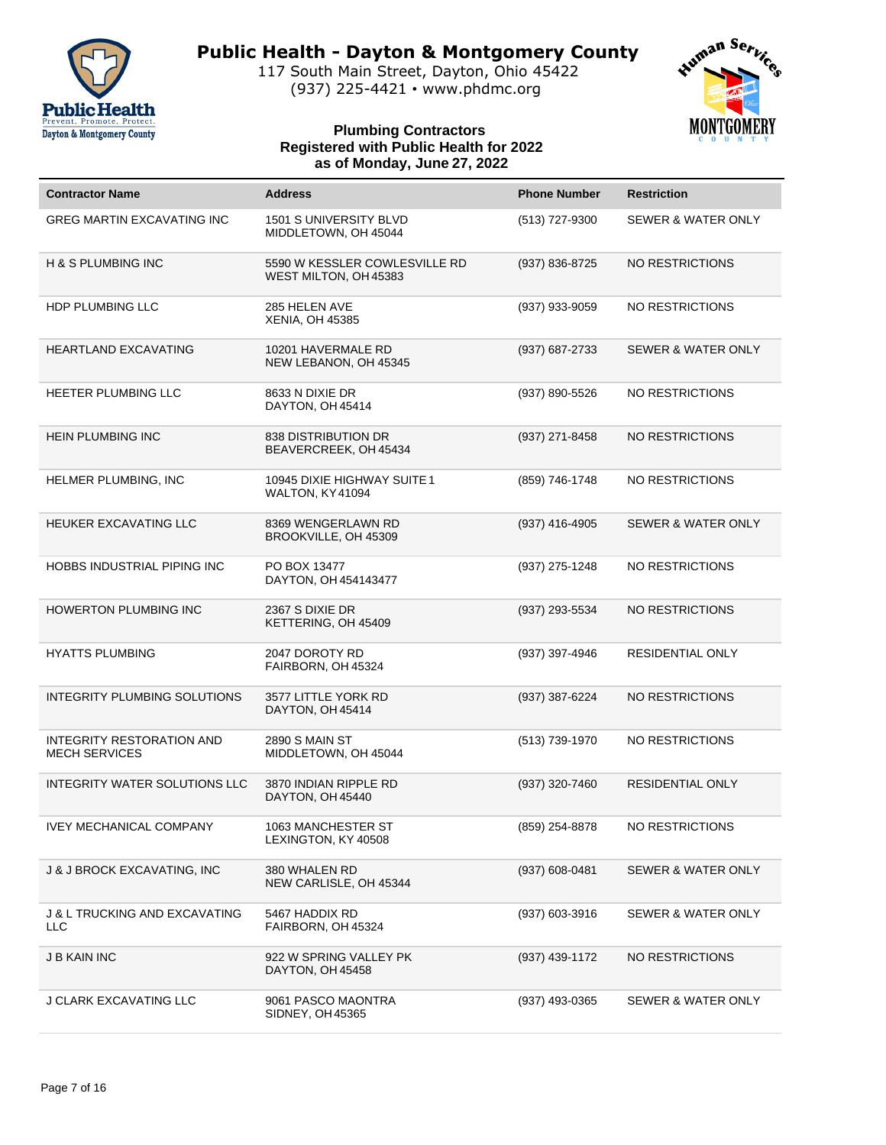

117 South Main Street, Dayton, Ohio 45422 (937) 225-4421 • www.phdmc.org



| <b>Contractor Name</b>                                 | <b>Address</b>                                         | <b>Phone Number</b> | <b>Restriction</b>            |
|--------------------------------------------------------|--------------------------------------------------------|---------------------|-------------------------------|
| <b>GREG MARTIN EXCAVATING INC</b>                      | 1501 S UNIVERSITY BLVD<br>MIDDLETOWN, OH 45044         | (513) 727-9300      | <b>SEWER &amp; WATER ONLY</b> |
| H & S PLUMBING INC                                     | 5590 W KESSLER COWLESVILLE RD<br>WEST MILTON, OH 45383 | (937) 836-8725      | <b>NO RESTRICTIONS</b>        |
| HDP PLUMBING LLC                                       | 285 HELEN AVE<br><b>XENIA, OH 45385</b>                | (937) 933-9059      | NO RESTRICTIONS               |
| <b>HEARTLAND EXCAVATING</b>                            | 10201 HAVERMALE RD<br>NEW LEBANON, OH 45345            | $(937) 687 - 2733$  | <b>SEWER &amp; WATER ONLY</b> |
| HEETER PLUMBING LLC                                    | 8633 N DIXIE DR<br>DAYTON, OH 45414                    | (937) 890-5526      | NO RESTRICTIONS               |
| <b>HEIN PLUMBING INC</b>                               | <b>838 DISTRIBUTION DR</b><br>BEAVERCREEK, OH 45434    | (937) 271-8458      | NO RESTRICTIONS               |
| HELMER PLUMBING, INC                                   | 10945 DIXIE HIGHWAY SUITE 1<br>WALTON, KY41094         | (859) 746-1748      | NO RESTRICTIONS               |
| HEUKER EXCAVATING LLC                                  | 8369 WENGERLAWN RD<br>BROOKVILLE, OH 45309             | (937) 416-4905      | SEWER & WATER ONLY            |
| HOBBS INDUSTRIAL PIPING INC                            | PO BOX 13477<br>DAYTON, OH 454143477                   | (937) 275-1248      | NO RESTRICTIONS               |
| <b>HOWERTON PLUMBING INC</b>                           | 2367 S DIXIE DR<br>KETTERING, OH 45409                 | (937) 293-5534      | NO RESTRICTIONS               |
| <b>HYATTS PLUMBING</b>                                 | 2047 DOROTY RD<br>FAIRBORN, OH 45324                   | (937) 397-4946      | RESIDENTIAL ONLY              |
| INTEGRITY PLUMBING SOLUTIONS                           | 3577 LITTLE YORK RD<br>DAYTON, OH 45414                | (937) 387-6224      | NO RESTRICTIONS               |
| INTEGRITY RESTORATION AND<br><b>MECH SERVICES</b>      | <b>2890 S MAIN ST</b><br>MIDDLETOWN, OH 45044          | (513) 739-1970      | NO RESTRICTIONS               |
| INTEGRITY WATER SOLUTIONS LLC                          | 3870 INDIAN RIPPLE RD<br>DAYTON, OH 45440              | (937) 320-7460      | <b>RESIDENTIAL ONLY</b>       |
| <b>IVEY MECHANICAL COMPANY</b>                         | 1063 MANCHESTER ST<br>LEXINGTON, KY 40508              | (859) 254-8878      | NO RESTRICTIONS               |
| J & J BROCK EXCAVATING, INC                            | 380 WHALEN RD<br>NEW CARLISLE, OH 45344                | $(937) 608 - 0481$  | SEWER & WATER ONLY            |
| <b>J &amp; L TRUCKING AND EXCAVATING</b><br><b>LLC</b> | 5467 HADDIX RD<br>FAIRBORN, OH 45324                   | (937) 603-3916      | SEWER & WATER ONLY            |
| <b>J B KAIN INC</b>                                    | 922 W SPRING VALLEY PK<br>DAYTON, OH 45458             | (937) 439-1172      | <b>NO RESTRICTIONS</b>        |
| <b>J CLARK EXCAVATING LLC</b>                          | 9061 PASCO MAONTRA<br>SIDNEY, OH 45365                 | (937) 493-0365      | SEWER & WATER ONLY            |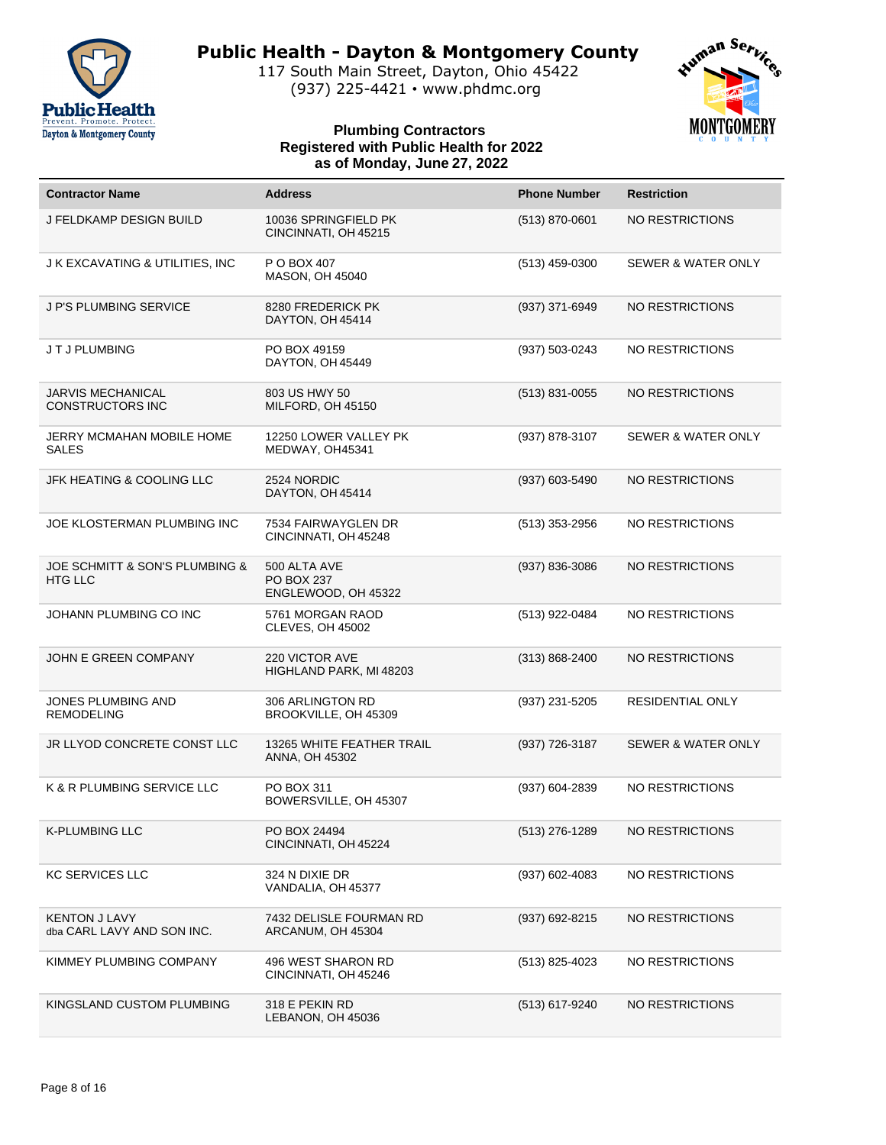

117 South Main Street, Dayton, Ohio 45422 (937) 225-4421 • www.phdmc.org



| <b>Contractor Name</b>                              | <b>Address</b>                                           | <b>Phone Number</b> | <b>Restriction</b>            |
|-----------------------------------------------------|----------------------------------------------------------|---------------------|-------------------------------|
| J FELDKAMP DESIGN BUILD                             | 10036 SPRINGFIELD PK<br>CINCINNATI, OH 45215             | (513) 870-0601      | <b>NO RESTRICTIONS</b>        |
| J K EXCAVATING & UTILITIES, INC                     | P O BOX 407<br><b>MASON, OH 45040</b>                    | (513) 459-0300      | <b>SEWER &amp; WATER ONLY</b> |
| J P'S PLUMBING SERVICE                              | 8280 FREDERICK PK<br>DAYTON, OH 45414                    | (937) 371-6949      | <b>NO RESTRICTIONS</b>        |
| JTJ PLUMBING                                        | PO BOX 49159<br>DAYTON, OH 45449                         | $(937) 503 - 0243$  | <b>NO RESTRICTIONS</b>        |
| <b>JARVIS MECHANICAL</b><br><b>CONSTRUCTORS INC</b> | 803 US HWY 50<br>MILFORD, OH 45150                       | $(513)$ 831-0055    | <b>NO RESTRICTIONS</b>        |
| JERRY MCMAHAN MOBILE HOME<br>SALES                  | 12250 LOWER VALLEY PK<br>MEDWAY, OH45341                 | (937) 878-3107      | <b>SEWER &amp; WATER ONLY</b> |
| <b>JFK HEATING &amp; COOLING LLC</b>                | 2524 NORDIC<br>DAYTON, OH 45414                          | (937) 603-5490      | <b>NO RESTRICTIONS</b>        |
| JOE KLOSTERMAN PLUMBING INC                         | 7534 FAIRWAYGLEN DR<br>CINCINNATI, OH 45248              | (513) 353-2956      | <b>NO RESTRICTIONS</b>        |
| JOE SCHMITT & SON'S PLUMBING &<br><b>HTG LLC</b>    | 500 ALTA AVE<br><b>PO BOX 237</b><br>ENGLEWOOD, OH 45322 | (937) 836-3086      | <b>NO RESTRICTIONS</b>        |
| JOHANN PLUMBING CO INC                              | 5761 MORGAN RAOD<br><b>CLEVES, OH 45002</b>              | (513) 922-0484      | NO RESTRICTIONS               |
| JOHN E GREEN COMPANY                                | 220 VICTOR AVE<br>HIGHLAND PARK, MI 48203                | $(313) 868 - 2400$  | <b>NO RESTRICTIONS</b>        |
| JONES PLUMBING AND<br><b>REMODELING</b>             | 306 ARLINGTON RD<br>BROOKVILLE, OH 45309                 | (937) 231-5205      | RESIDENTIAL ONLY              |
| JR LLYOD CONCRETE CONST LLC                         | 13265 WHITE FEATHER TRAIL<br>ANNA, OH 45302              | (937) 726-3187      | <b>SEWER &amp; WATER ONLY</b> |
| K & R PLUMBING SERVICE LLC                          | PO BOX 311<br>BOWERSVILLE, OH 45307                      | (937) 604-2839      | <b>NO RESTRICTIONS</b>        |
| <b>K-PLUMBING LLC</b>                               | PO BOX 24494<br>CINCINNATI, OH 45224                     | (513) 276-1289      | NO RESTRICTIONS               |
| <b>KC SERVICES LLC</b>                              | 324 N DIXIE DR<br>VANDALIA, OH 45377                     | (937) 602-4083      | NO RESTRICTIONS               |
| <b>KENTON J LAVY</b><br>dba CARL LAVY AND SON INC.  | 7432 DELISLE FOURMAN RD<br>ARCANUM, OH 45304             | (937) 692-8215      | <b>NO RESTRICTIONS</b>        |
| KIMMEY PLUMBING COMPANY                             | 496 WEST SHARON RD<br>CINCINNATI, OH 45246               | (513) 825-4023      | NO RESTRICTIONS               |
| KINGSLAND CUSTOM PLUMBING                           | 318 E PEKIN RD<br>LEBANON, OH 45036                      | (513) 617-9240      | NO RESTRICTIONS               |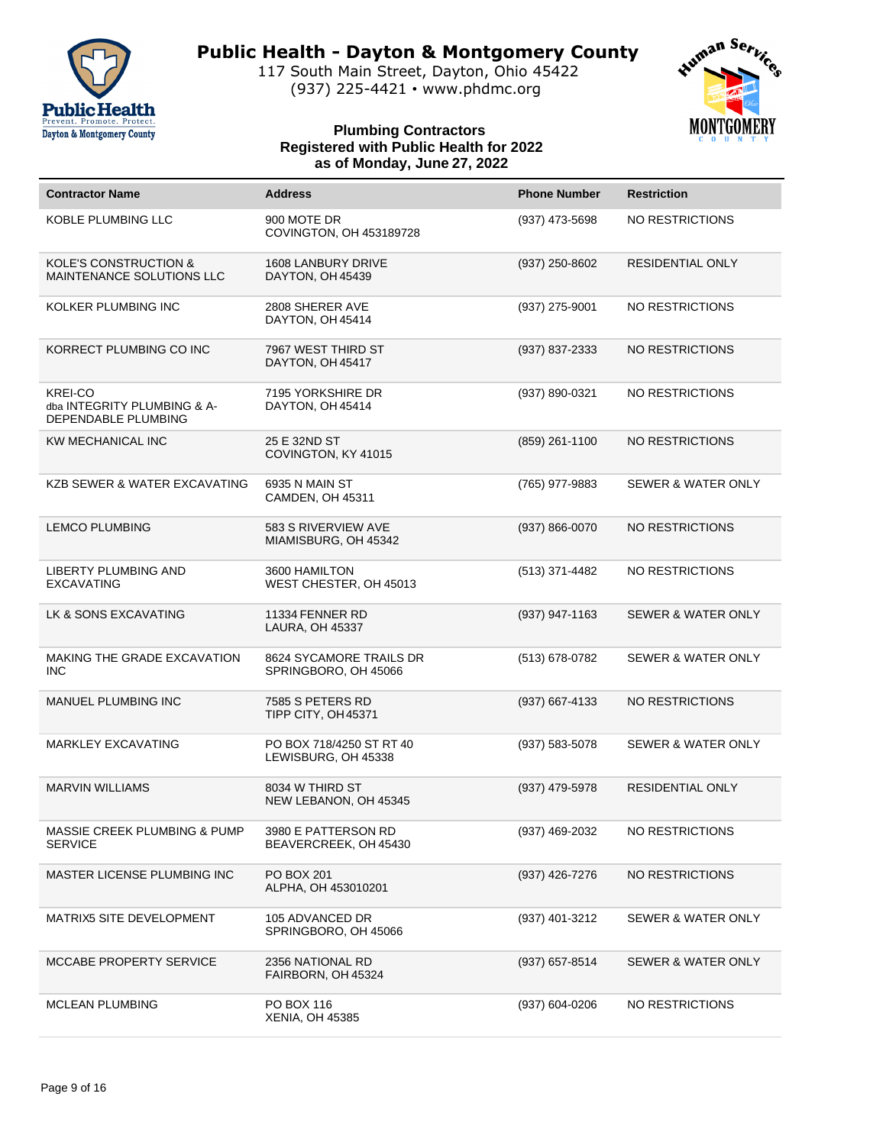

117 South Main Street, Dayton, Ohio 45422 (937) 225-4421 • www.phdmc.org



| <b>Contractor Name</b>                                               | <b>Address</b>                                  | <b>Phone Number</b> | <b>Restriction</b>            |
|----------------------------------------------------------------------|-------------------------------------------------|---------------------|-------------------------------|
| <b>KOBLE PLUMBING LLC</b>                                            | 900 MOTE DR<br>COVINGTON, OH 453189728          | (937) 473-5698      | NO RESTRICTIONS               |
| <b>KOLE'S CONSTRUCTION &amp;</b><br>MAINTENANCE SOLUTIONS LLC        | 1608 LANBURY DRIVE<br>DAYTON, OH 45439          | (937) 250-8602      | RESIDENTIAL ONLY              |
| KOLKER PLUMBING INC                                                  | 2808 SHERER AVE<br>DAYTON, OH 45414             | $(937)$ 275-9001    | NO RESTRICTIONS               |
| KORRECT PLUMBING CO INC                                              | 7967 WEST THIRD ST<br>DAYTON, OH 45417          | (937) 837-2333      | NO RESTRICTIONS               |
| <b>KREI-CO</b><br>dba INTEGRITY PLUMBING & A-<br>DEPENDABLE PLUMBING | 7195 YORKSHIRE DR<br>DAYTON, OH 45414           | (937) 890-0321      | NO RESTRICTIONS               |
| KW MECHANICAL INC                                                    | 25 E 32ND ST<br>COVINGTON, KY 41015             | (859) 261-1100      | <b>NO RESTRICTIONS</b>        |
| <b>KZB SEWER &amp; WATER EXCAVATING</b>                              | 6935 N MAIN ST<br>CAMDEN, OH 45311              | (765) 977-9883      | <b>SEWER &amp; WATER ONLY</b> |
| <b>LEMCO PLUMBING</b>                                                | 583 S RIVERVIEW AVE<br>MIAMISBURG, OH 45342     | (937) 866-0070      | <b>NO RESTRICTIONS</b>        |
| LIBERTY PLUMBING AND<br><b>EXCAVATING</b>                            | 3600 HAMILTON<br>WEST CHESTER, OH 45013         | (513) 371-4482      | NO RESTRICTIONS               |
| LK & SONS EXCAVATING                                                 | 11334 FENNER RD<br>LAURA, OH 45337              | (937) 947-1163      | SEWER & WATER ONLY            |
| MAKING THE GRADE EXCAVATION<br><b>INC</b>                            | 8624 SYCAMORE TRAILS DR<br>SPRINGBORO, OH 45066 | (513) 678-0782      | <b>SEWER &amp; WATER ONLY</b> |
| MANUEL PLUMBING INC                                                  | 7585 S PETERS RD<br>TIPP CITY, OH 45371         | (937) 667-4133      | <b>NO RESTRICTIONS</b>        |
| <b>MARKLEY EXCAVATING</b>                                            | PO BOX 718/4250 ST RT 40<br>LEWISBURG, OH 45338 | (937) 583-5078      | <b>SEWER &amp; WATER ONLY</b> |
| <b>MARVIN WILLIAMS</b>                                               | 8034 W THIRD ST<br>NEW LEBANON, OH 45345        | (937) 479-5978      | <b>RESIDENTIAL ONLY</b>       |
| MASSIE CREEK PLUMBING & PUMP<br><b>SERVICE</b>                       | 3980 E PATTERSON RD<br>BEAVERCREEK, OH 45430    | (937) 469-2032      | NO RESTRICTIONS               |
| MASTER LICENSE PLUMBING INC                                          | PO BOX 201<br>ALPHA, OH 453010201               | (937) 426-7276      | NO RESTRICTIONS               |
| MATRIX5 SITE DEVELOPMENT                                             | 105 ADVANCED DR<br>SPRINGBORO, OH 45066         | (937) 401-3212      | SEWER & WATER ONLY            |
| MCCABE PROPERTY SERVICE                                              | 2356 NATIONAL RD<br>FAIRBORN, OH 45324          | (937) 657-8514      | SEWER & WATER ONLY            |
| <b>MCLEAN PLUMBING</b>                                               | PO BOX 116<br><b>XENIA, OH 45385</b>            | (937) 604-0206      | NO RESTRICTIONS               |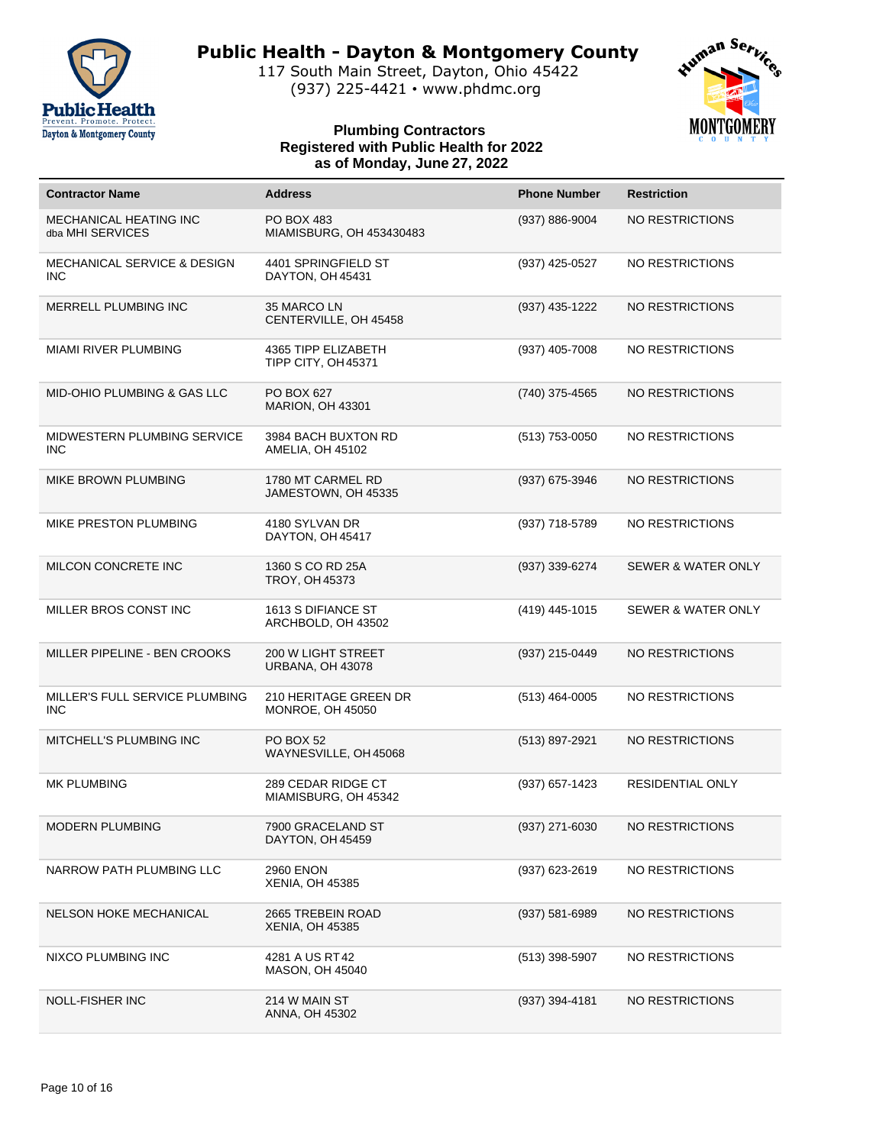

117 South Main Street, Dayton, Ohio 45422 (937) 225-4421 • www.phdmc.org

# Human Service **MONTGOMERY**

| <b>Contractor Name</b>                               | <b>Address</b>                                       | <b>Phone Number</b> | <b>Restriction</b>            |
|------------------------------------------------------|------------------------------------------------------|---------------------|-------------------------------|
| MECHANICAL HEATING INC<br>dba MHI SERVICES           | <b>PO BOX 483</b><br>MIAMISBURG, OH 453430483        | (937) 886-9004      | NO RESTRICTIONS               |
| <b>MECHANICAL SERVICE &amp; DESIGN</b><br><b>INC</b> | 4401 SPRINGFIELD ST<br>DAYTON, OH 45431              | (937) 425-0527      | NO RESTRICTIONS               |
| MERRELL PLUMBING INC                                 | 35 MARCO LN<br>CENTERVILLE, OH 45458                 | (937) 435-1222      | NO RESTRICTIONS               |
| <b>MIAMI RIVER PLUMBING</b>                          | 4365 TIPP ELIZABETH<br>TIPP CITY, OH 45371           | (937) 405-7008      | NO RESTRICTIONS               |
| <b>MID-OHIO PLUMBING &amp; GAS LLC</b>               | PO BOX 627<br>MARION, OH 43301                       | (740) 375-4565      | NO RESTRICTIONS               |
| MIDWESTERN PLUMBING SERVICE<br><b>INC</b>            | 3984 BACH BUXTON RD<br>AMELIA, OH 45102              | (513) 753-0050      | NO RESTRICTIONS               |
| MIKE BROWN PLUMBING                                  | 1780 MT CARMEL RD<br>JAMESTOWN, OH 45335             | (937) 675-3946      | NO RESTRICTIONS               |
| MIKE PRESTON PLUMBING                                | 4180 SYLVAN DR<br>DAYTON, OH 45417                   | (937) 718-5789      | NO RESTRICTIONS               |
| MILCON CONCRETE INC                                  | 1360 S CO RD 25A<br>TROY, OH 45373                   | (937) 339-6274      | <b>SEWER &amp; WATER ONLY</b> |
| MILLER BROS CONST INC                                | 1613 S DIFIANCE ST<br>ARCHBOLD, OH 43502             | (419) 445-1015      | <b>SEWER &amp; WATER ONLY</b> |
| MILLER PIPELINE - BEN CROOKS                         | <b>200 W LIGHT STREET</b><br><b>URBANA, OH 43078</b> | (937) 215-0449      | NO RESTRICTIONS               |
| MILLER'S FULL SERVICE PLUMBING<br>INC.               | 210 HERITAGE GREEN DR<br><b>MONROE, OH 45050</b>     | (513) 464-0005      | NO RESTRICTIONS               |
| MITCHELL'S PLUMBING INC                              | <b>PO BOX 52</b><br>WAYNESVILLE, OH 45068            | (513) 897-2921      | NO RESTRICTIONS               |
| <b>MK PLUMBING</b>                                   | 289 CEDAR RIDGE CT<br>MIAMISBURG, OH 45342           | (937) 657-1423      | <b>RESIDENTIAL ONLY</b>       |
| <b>MODERN PLUMBING</b>                               | 7900 GRACELAND ST<br>DAYTON, OH 45459                | (937) 271-6030      | NO RESTRICTIONS               |
| NARROW PATH PLUMBING LLC                             | <b>2960 ENON</b><br>XENIA, OH 45385                  | (937) 623-2619      | NO RESTRICTIONS               |
| <b>NELSON HOKE MECHANICAL</b>                        | 2665 TREBEIN ROAD<br><b>XENIA, OH 45385</b>          | (937) 581-6989      | NO RESTRICTIONS               |
| NIXCO PLUMBING INC                                   | 4281 A US RT42<br><b>MASON, OH 45040</b>             | (513) 398-5907      | NO RESTRICTIONS               |
| <b>NOLL-FISHER INC</b>                               | 214 W MAIN ST<br>ANNA, OH 45302                      | (937) 394-4181      | NO RESTRICTIONS               |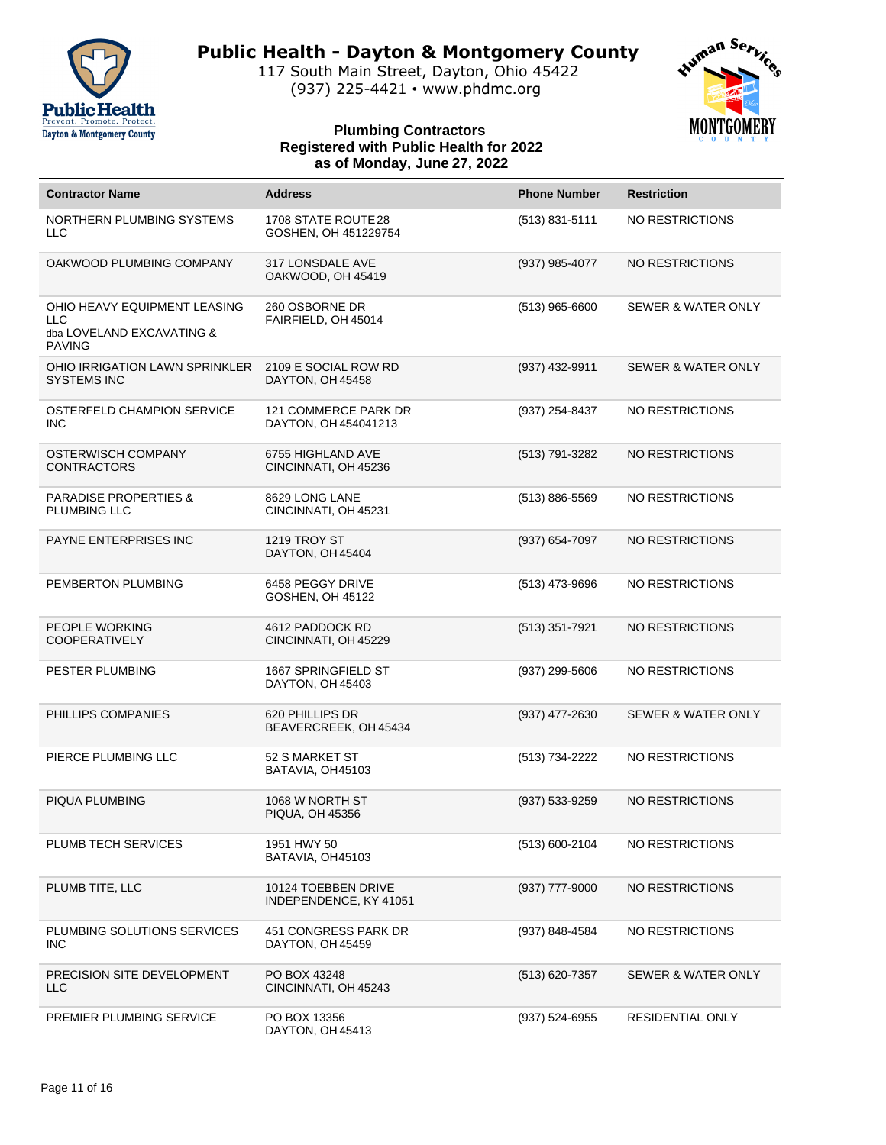

117 South Main Street, Dayton, Ohio 45422 (937) 225-4421 • www.phdmc.org



| <b>Contractor Name</b>                                                                   | <b>Address</b>                                | <b>Phone Number</b> | <b>Restriction</b>            |
|------------------------------------------------------------------------------------------|-----------------------------------------------|---------------------|-------------------------------|
|                                                                                          |                                               |                     |                               |
| <b>NORTHERN PLUMBING SYSTEMS</b><br><b>LLC</b>                                           | 1708 STATE ROUTE 28<br>GOSHEN, OH 451229754   | (513) 831-5111      | <b>NO RESTRICTIONS</b>        |
| OAKWOOD PLUMBING COMPANY                                                                 | 317 LONSDALE AVE<br>OAKWOOD, OH 45419         | (937) 985-4077      | <b>NO RESTRICTIONS</b>        |
| OHIO HEAVY EQUIPMENT LEASING<br><b>LLC</b><br>dba LOVELAND EXCAVATING &<br><b>PAVING</b> | 260 OSBORNE DR<br>FAIRFIELD, OH 45014         | $(513)$ 965-6600    | SEWER & WATER ONLY            |
| OHIO IRRIGATION LAWN SPRINKLER<br><b>SYSTEMS INC</b>                                     | 2109 E SOCIAL ROW RD<br>DAYTON, OH 45458      | (937) 432-9911      | <b>SEWER &amp; WATER ONLY</b> |
| OSTERFELD CHAMPION SERVICE<br><b>INC</b>                                                 | 121 COMMERCE PARK DR<br>DAYTON, OH 454041213  | (937) 254-8437      | <b>NO RESTRICTIONS</b>        |
| OSTERWISCH COMPANY<br><b>CONTRACTORS</b>                                                 | 6755 HIGHLAND AVE<br>CINCINNATI, OH 45236     | (513) 791-3282      | <b>NO RESTRICTIONS</b>        |
| <b>PARADISE PROPERTIES &amp;</b><br>PLUMBING LLC                                         | 8629 LONG LANE<br>CINCINNATI, OH 45231        | (513) 886-5569      | <b>NO RESTRICTIONS</b>        |
| PAYNE ENTERPRISES INC                                                                    | <b>1219 TROY ST</b><br>DAYTON, OH 45404       | (937) 654-7097      | <b>NO RESTRICTIONS</b>        |
| PEMBERTON PLUMBING                                                                       | 6458 PEGGY DRIVE<br>GOSHEN, OH 45122          | (513) 473-9696      | <b>NO RESTRICTIONS</b>        |
| PEOPLE WORKING<br><b>COOPERATIVELY</b>                                                   | 4612 PADDOCK RD<br>CINCINNATI, OH 45229       | (513) 351-7921      | <b>NO RESTRICTIONS</b>        |
| PESTER PLUMBING                                                                          | 1667 SPRINGFIELD ST<br>DAYTON, OH 45403       | (937) 299-5606      | <b>NO RESTRICTIONS</b>        |
| PHILLIPS COMPANIES                                                                       | 620 PHILLIPS DR<br>BEAVERCREEK, OH 45434      | (937) 477-2630      | <b>SEWER &amp; WATER ONLY</b> |
| PIERCE PLUMBING LLC                                                                      | 52 S MARKET ST<br>BATAVIA, OH45103            | (513) 734-2222      | <b>NO RESTRICTIONS</b>        |
| PIQUA PLUMBING                                                                           | 1068 W NORTH ST<br><b>PIQUA, OH 45356</b>     | (937) 533-9259      | <b>NO RESTRICTIONS</b>        |
| PLUMB TECH SERVICES                                                                      | 1951 HWY 50<br>BATAVIA, OH45103               | (513) 600-2104      | NO RESTRICTIONS               |
| PLUMB TITE, LLC                                                                          | 10124 TOEBBEN DRIVE<br>INDEPENDENCE, KY 41051 | (937) 777-9000      | NO RESTRICTIONS               |
| PLUMBING SOLUTIONS SERVICES<br><b>INC</b>                                                | 451 CONGRESS PARK DR<br>DAYTON, OH 45459      | (937) 848-4584      | NO RESTRICTIONS               |
| PRECISION SITE DEVELOPMENT<br>LLC                                                        | PO BOX 43248<br>CINCINNATI, OH 45243          | (513) 620-7357      | <b>SEWER &amp; WATER ONLY</b> |
| PREMIER PLUMBING SERVICE                                                                 | PO BOX 13356<br>DAYTON, OH 45413              | (937) 524-6955      | RESIDENTIAL ONLY              |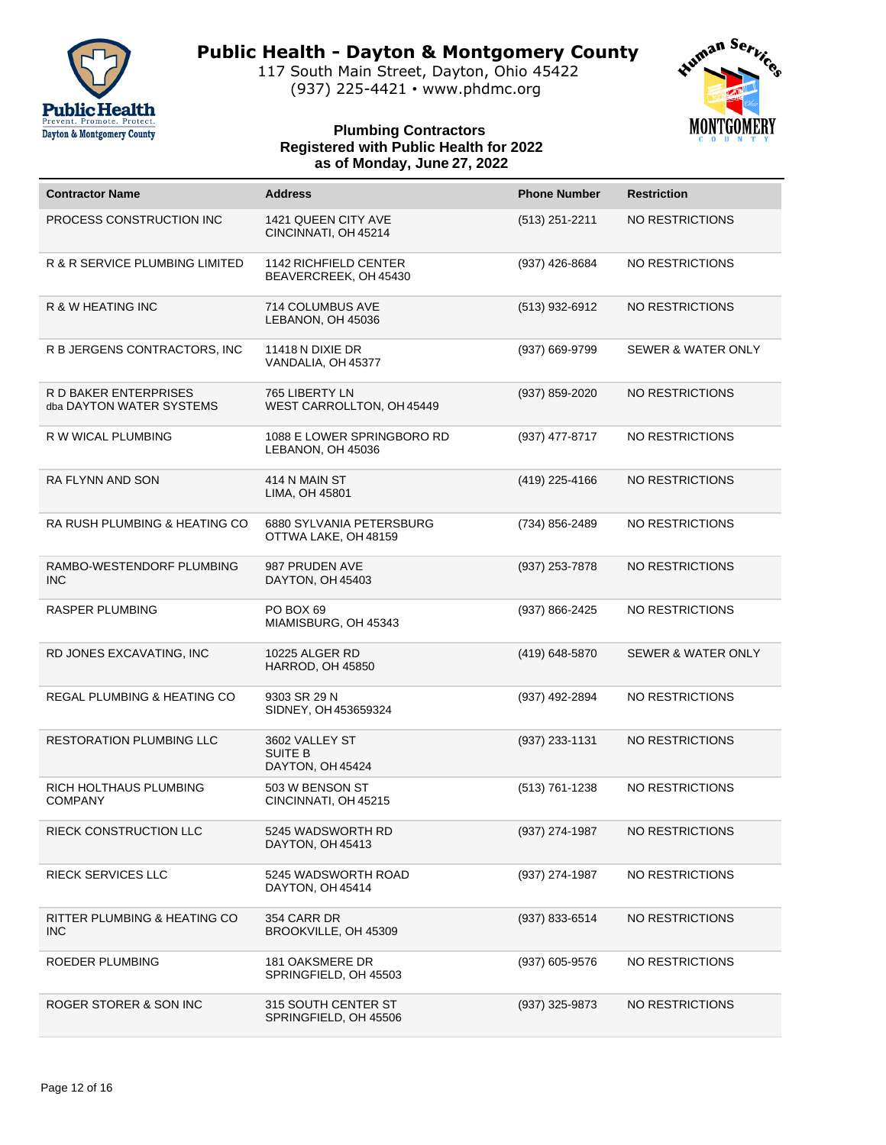

117 South Main Street, Dayton, Ohio 45422 (937) 225-4421 • www.phdmc.org



| <b>Contractor Name</b>                            | <b>Address</b>                                        | <b>Phone Number</b> | <b>Restriction</b>            |
|---------------------------------------------------|-------------------------------------------------------|---------------------|-------------------------------|
| PROCESS CONSTRUCTION INC                          | 1421 QUEEN CITY AVE<br>CINCINNATI, OH 45214           | $(513)$ 251-2211    | NO RESTRICTIONS               |
| R & R SERVICE PLUMBING LIMITED                    | <b>1142 RICHFIELD CENTER</b><br>BEAVERCREEK, OH 45430 | (937) 426-8684      | NO RESTRICTIONS               |
| R & W HEATING INC                                 | 714 COLUMBUS AVE<br>LEBANON, OH 45036                 | (513) 932-6912      | NO RESTRICTIONS               |
| R B JERGENS CONTRACTORS, INC                      | <b>11418 N DIXIE DR</b><br>VANDALIA, OH 45377         | (937) 669-9799      | <b>SEWER &amp; WATER ONLY</b> |
| R D BAKER ENTERPRISES<br>dba DAYTON WATER SYSTEMS | 765 LIBERTY LN<br>WEST CARROLLTON, OH 45449           | (937) 859-2020      | NO RESTRICTIONS               |
| R W WICAL PLUMBING                                | 1088 E LOWER SPRINGBORO RD<br>LEBANON, OH 45036       | (937) 477-8717      | NO RESTRICTIONS               |
| RA FLYNN AND SON                                  | 414 N MAIN ST<br>LIMA, OH 45801                       | (419) 225-4166      | NO RESTRICTIONS               |
| RA RUSH PLUMBING & HEATING CO                     | 6880 SYLVANIA PETERSBURG<br>OTTWA LAKE, OH 48159      | (734) 856-2489      | NO RESTRICTIONS               |
| RAMBO-WESTENDORF PLUMBING<br><b>INC</b>           | 987 PRUDEN AVE<br>DAYTON, OH 45403                    | (937) 253-7878      | NO RESTRICTIONS               |
| <b>RASPER PLUMBING</b>                            | PO BOX 69<br>MIAMISBURG, OH 45343                     | (937) 866-2425      | NO RESTRICTIONS               |
| RD JONES EXCAVATING, INC                          | 10225 ALGER RD<br>HARROD, OH 45850                    | (419) 648-5870      | <b>SEWER &amp; WATER ONLY</b> |
| REGAL PLUMBING & HEATING CO                       | 9303 SR 29 N<br>SIDNEY, OH 453659324                  | (937) 492-2894      | NO RESTRICTIONS               |
| <b>RESTORATION PLUMBING LLC</b>                   | 3602 VALLEY ST<br><b>SUITE B</b><br>DAYTON, OH 45424  | (937) 233-1131      | NO RESTRICTIONS               |
| RICH HOLTHAUS PLUMBING<br><b>COMPANY</b>          | 503 W BENSON ST<br>CINCINNATI, OH 45215               | (513) 761-1238      | <b>NO RESTRICTIONS</b>        |
| RIECK CONSTRUCTION LLC                            | 5245 WADSWORTH RD<br>DAYTON, OH 45413                 | (937) 274-1987      | NO RESTRICTIONS               |
| RIECK SERVICES LLC                                | 5245 WADSWORTH ROAD<br>DAYTON, OH 45414               | (937) 274-1987      | NO RESTRICTIONS               |
| RITTER PLUMBING & HEATING CO<br><b>INC</b>        | 354 CARR DR<br>BROOKVILLE, OH 45309                   | (937) 833-6514      | NO RESTRICTIONS               |
| ROEDER PLUMBING                                   | 181 OAKSMERE DR<br>SPRINGFIELD, OH 45503              | (937) 605-9576      | NO RESTRICTIONS               |
| ROGER STORER & SON INC                            | 315 SOUTH CENTER ST<br>SPRINGFIELD, OH 45506          | (937) 325-9873      | NO RESTRICTIONS               |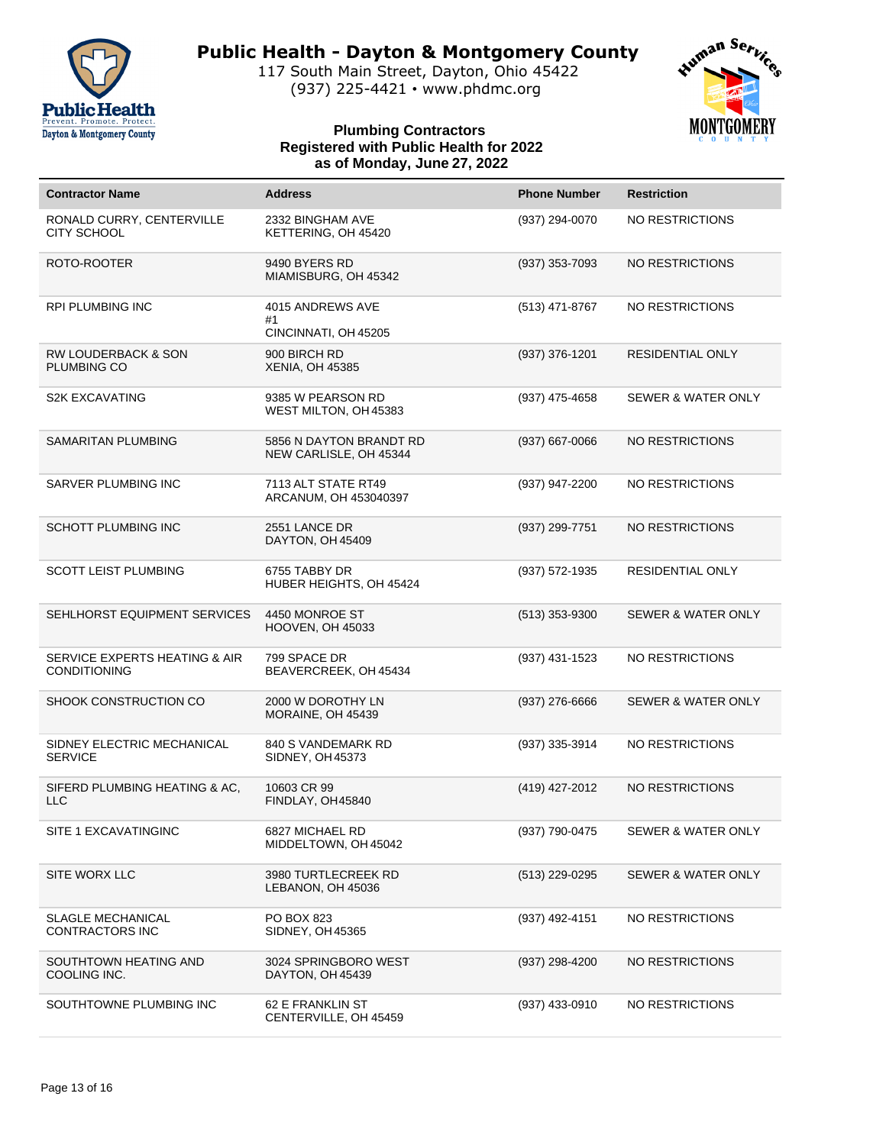

117 South Main Street, Dayton, Ohio 45422 (937) 225-4421 • www.phdmc.org



| <b>Contractor Name</b>                               | <b>Address</b>                                    | <b>Phone Number</b> | <b>Restriction</b>            |
|------------------------------------------------------|---------------------------------------------------|---------------------|-------------------------------|
| RONALD CURRY, CENTERVILLE<br><b>CITY SCHOOL</b>      | 2332 BINGHAM AVE<br>KETTERING, OH 45420           | (937) 294-0070      | NO RESTRICTIONS               |
| ROTO-ROOTER                                          | 9490 BYERS RD<br>MIAMISBURG, OH 45342             | (937) 353-7093      | NO RESTRICTIONS               |
| <b>RPI PLUMBING INC</b>                              | 4015 ANDREWS AVE<br>#1<br>CINCINNATI, OH 45205    | (513) 471-8767      | NO RESTRICTIONS               |
| <b>RW LOUDERBACK &amp; SON</b><br>PLUMBING CO        | 900 BIRCH RD<br><b>XENIA, OH 45385</b>            | (937) 376-1201      | <b>RESIDENTIAL ONLY</b>       |
| <b>S2K EXCAVATING</b>                                | 9385 W PEARSON RD<br>WEST MILTON, OH 45383        | (937) 475-4658      | <b>SEWER &amp; WATER ONLY</b> |
| <b>SAMARITAN PLUMBING</b>                            | 5856 N DAYTON BRANDT RD<br>NEW CARLISLE, OH 45344 | $(937)$ 667-0066    | NO RESTRICTIONS               |
| SARVER PLUMBING INC                                  | 7113 ALT STATE RT49<br>ARCANUM, OH 453040397      | (937) 947-2200      | NO RESTRICTIONS               |
| <b>SCHOTT PLUMBING INC</b>                           | 2551 LANCE DR<br>DAYTON, OH 45409                 | (937) 299-7751      | NO RESTRICTIONS               |
| <b>SCOTT LEIST PLUMBING</b>                          | 6755 TABBY DR<br>HUBER HEIGHTS, OH 45424          | (937) 572-1935      | RESIDENTIAL ONLY              |
| SEHLHORST EQUIPMENT SERVICES                         | 4450 MONROE ST<br>HOOVEN, OH 45033                | $(513)$ 353-9300    | <b>SEWER &amp; WATER ONLY</b> |
| SERVICE EXPERTS HEATING & AIR<br><b>CONDITIONING</b> | 799 SPACE DR<br>BEAVERCREEK, OH 45434             | (937) 431-1523      | NO RESTRICTIONS               |
| SHOOK CONSTRUCTION CO                                | 2000 W DOROTHY LN<br>MORAINE, OH 45439            | $(937)$ 276-6666    | <b>SEWER &amp; WATER ONLY</b> |
| SIDNEY ELECTRIC MECHANICAL<br><b>SERVICE</b>         | 840 S VANDEMARK RD<br>SIDNEY, OH 45373            | (937) 335-3914      | NO RESTRICTIONS               |
| SIFERD PLUMBING HEATING & AC,<br><b>LLC</b>          | 10603 CR 99<br>FINDLAY, OH45840                   | (419) 427-2012      | <b>NO RESTRICTIONS</b>        |
| SITE 1 EXCAVATINGINC                                 | 6827 MICHAEL RD<br>MIDDELTOWN, OH 45042           | (937) 790-0475      | <b>SEWER &amp; WATER ONLY</b> |
| SITE WORX LLC                                        | 3980 TURTLECREEK RD<br>LEBANON, OH 45036          | (513) 229-0295      | SEWER & WATER ONLY            |
| <b>SLAGLE MECHANICAL</b><br><b>CONTRACTORS INC</b>   | PO BOX 823<br>SIDNEY, OH 45365                    | (937) 492-4151      | NO RESTRICTIONS               |
| SOUTHTOWN HEATING AND<br>COOLING INC.                | 3024 SPRINGBORO WEST<br>DAYTON, OH 45439          | (937) 298-4200      | <b>NO RESTRICTIONS</b>        |
| SOUTHTOWNE PLUMBING INC                              | 62 E FRANKLIN ST<br>CENTERVILLE, OH 45459         | (937) 433-0910      | NO RESTRICTIONS               |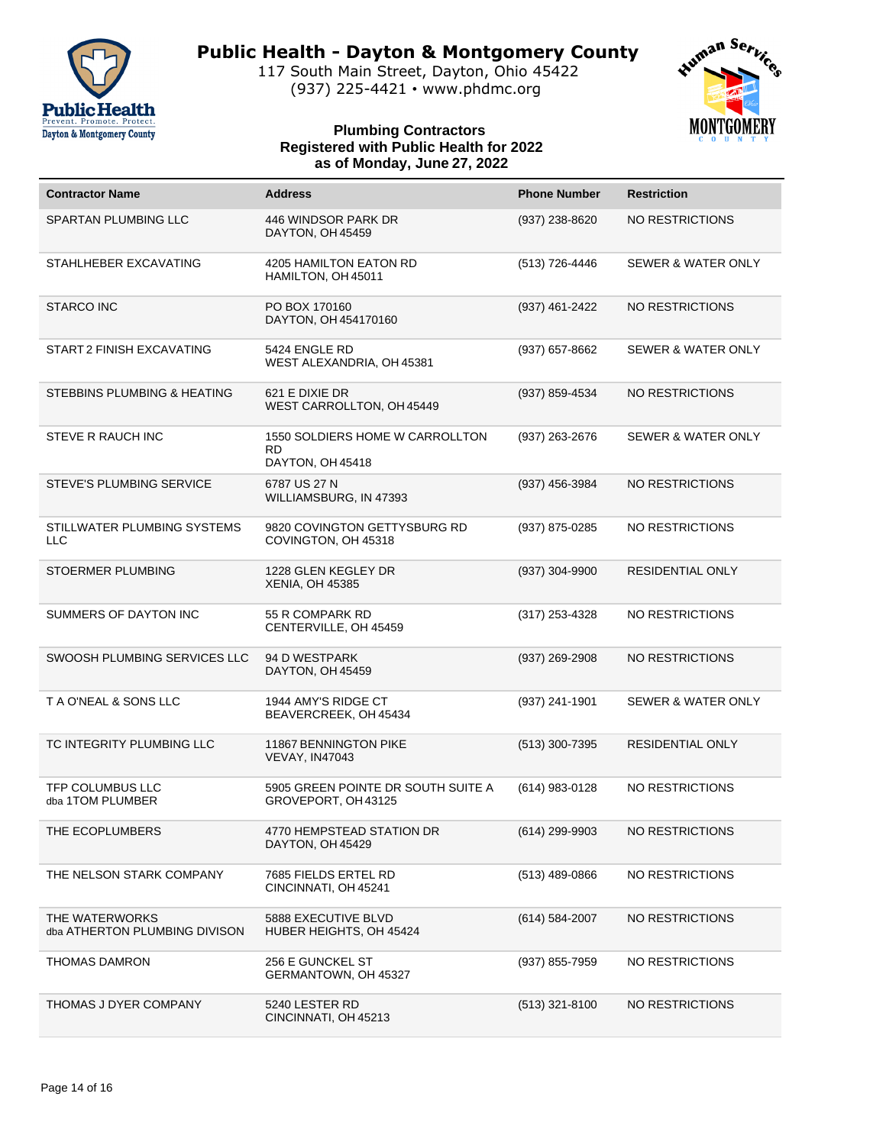

117 South Main Street, Dayton, Ohio 45422 (937) 225-4421 • www.phdmc.org



| <b>Contractor Name</b>                          | <b>Address</b>                                                   | <b>Phone Number</b> | <b>Restriction</b>            |
|-------------------------------------------------|------------------------------------------------------------------|---------------------|-------------------------------|
| SPARTAN PLUMBING LLC                            | 446 WINDSOR PARK DR<br>DAYTON, OH 45459                          | (937) 238-8620      | NO RESTRICTIONS               |
| STAHLHEBER EXCAVATING                           | 4205 HAMILTON EATON RD<br>HAMILTON, OH 45011                     | (513) 726-4446      | SEWER & WATER ONLY            |
| <b>STARCO INC</b>                               | PO BOX 170160<br>DAYTON, OH 454170160                            | (937) 461-2422      | NO RESTRICTIONS               |
| START 2 FINISH EXCAVATING                       | 5424 ENGLE RD<br>WEST ALEXANDRIA, OH 45381                       | $(937)$ 657-8662    | SEWER & WATER ONLY            |
| STEBBINS PLUMBING & HEATING                     | 621 E DIXIE DR<br>WEST CARROLLTON, OH 45449                      | (937) 859-4534      | NO RESTRICTIONS               |
| STEVE R RAUCH INC                               | 1550 SOLDIERS HOME W CARROLLTON<br><b>RD</b><br>DAYTON, OH 45418 | (937) 263-2676      | SEWER & WATER ONLY            |
| <b>STEVE'S PLUMBING SERVICE</b>                 | 6787 US 27 N<br>WILLIAMSBURG, IN 47393                           | (937) 456-3984      | NO RESTRICTIONS               |
| STILLWATER PLUMBING SYSTEMS<br><b>LLC</b>       | 9820 COVINGTON GETTYSBURG RD<br>COVINGTON, OH 45318              | (937) 875-0285      | NO RESTRICTIONS               |
| STOERMER PLUMBING                               | 1228 GLEN KEGLEY DR<br>XENIA, OH 45385                           | (937) 304-9900      | <b>RESIDENTIAL ONLY</b>       |
| SUMMERS OF DAYTON INC                           | 55 R COMPARK RD<br>CENTERVILLE, OH 45459                         | $(317)$ 253-4328    | NO RESTRICTIONS               |
| SWOOSH PLUMBING SERVICES LLC                    | 94 D WESTPARK<br>DAYTON, OH 45459                                | (937) 269-2908      | NO RESTRICTIONS               |
| T A O'NEAL & SONS LLC                           | 1944 AMY'S RIDGE CT<br>BEAVERCREEK, OH 45434                     | (937) 241-1901      | <b>SEWER &amp; WATER ONLY</b> |
| TC INTEGRITY PLUMBING LLC                       | <b>11867 BENNINGTON PIKE</b><br><b>VEVAY, IN47043</b>            | (513) 300-7395      | <b>RESIDENTIAL ONLY</b>       |
| TFP COLUMBUS LLC<br>dba 1TOM PLUMBER            | 5905 GREEN POINTE DR SOUTH SUITE A<br>GROVEPORT, OH 43125        | (614) 983-0128      | NO RESTRICTIONS               |
| THE ECOPLUMBERS                                 | 4770 HEMPSTEAD STATION DR<br>DAYTON, OH 45429                    | (614) 299-9903      | NO RESTRICTIONS               |
| THE NELSON STARK COMPANY                        | 7685 FIELDS ERTEL RD<br>CINCINNATI, OH 45241                     | $(513)$ 489-0866    | NO RESTRICTIONS               |
| THE WATERWORKS<br>dba ATHERTON PLUMBING DIVISON | 5888 EXECUTIVE BLVD<br>HUBER HEIGHTS, OH 45424                   | $(614) 584 - 2007$  | NO RESTRICTIONS               |
| THOMAS DAMRON                                   | 256 E GUNCKEL ST<br>GERMANTOWN, OH 45327                         | (937) 855-7959      | NO RESTRICTIONS               |
| THOMAS J DYER COMPANY                           | 5240 LESTER RD<br>CINCINNATI, OH 45213                           | $(513)$ 321-8100    | NO RESTRICTIONS               |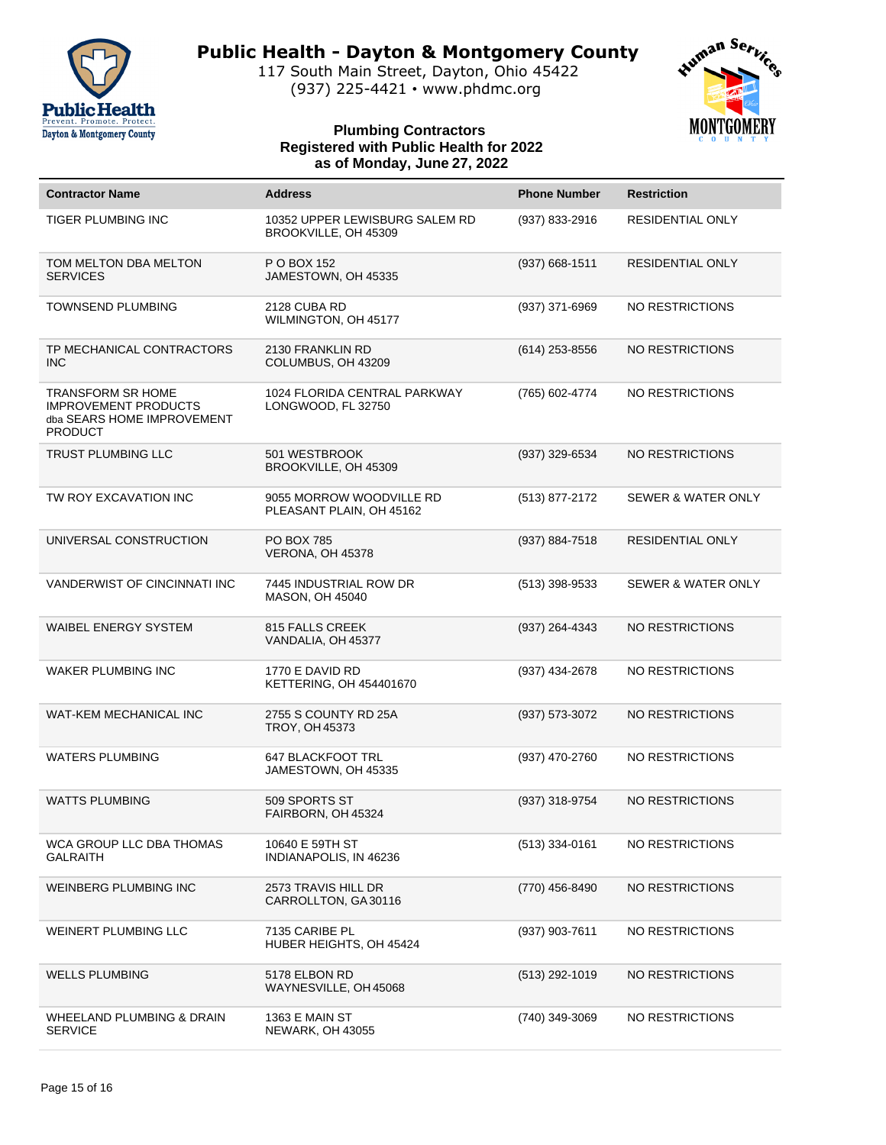

117 South Main Street, Dayton, Ohio 45422 (937) 225-4421 • www.phdmc.org



| <b>Contractor Name</b>                                                                                  | <b>Address</b>                                         | <b>Phone Number</b> | <b>Restriction</b>            |
|---------------------------------------------------------------------------------------------------------|--------------------------------------------------------|---------------------|-------------------------------|
| <b>TIGER PLUMBING INC</b>                                                                               | 10352 UPPER LEWISBURG SALEM RD<br>BROOKVILLE, OH 45309 | (937) 833-2916      | <b>RESIDENTIAL ONLY</b>       |
| TOM MELTON DBA MELTON<br><b>SERVICES</b>                                                                | P O BOX 152<br>JAMESTOWN, OH 45335                     | $(937)$ 668-1511    | RESIDENTIAL ONLY              |
| <b>TOWNSEND PLUMBING</b>                                                                                | 2128 CUBA RD<br>WILMINGTON, OH 45177                   | (937) 371-6969      | NO RESTRICTIONS               |
| TP MECHANICAL CONTRACTORS<br><b>INC</b>                                                                 | 2130 FRANKLIN RD<br>COLUMBUS, OH 43209                 | $(614)$ 253-8556    | NO RESTRICTIONS               |
| <b>TRANSFORM SR HOME</b><br><b>IMPROVEMENT PRODUCTS</b><br>dba SEARS HOME IMPROVEMENT<br><b>PRODUCT</b> | 1024 FLORIDA CENTRAL PARKWAY<br>LONGWOOD, FL 32750     | (765) 602-4774      | NO RESTRICTIONS               |
| <b>TRUST PLUMBING LLC</b>                                                                               | 501 WESTBROOK<br>BROOKVILLE, OH 45309                  | (937) 329-6534      | NO RESTRICTIONS               |
| TW ROY EXCAVATION INC                                                                                   | 9055 MORROW WOODVILLE RD<br>PLEASANT PLAIN, OH 45162   | (513) 877-2172      | <b>SEWER &amp; WATER ONLY</b> |
| UNIVERSAL CONSTRUCTION                                                                                  | <b>PO BOX 785</b><br>VERONA, OH 45378                  | (937) 884-7518      | RESIDENTIAL ONLY              |
| <b>VANDERWIST OF CINCINNATI INC</b>                                                                     | 7445 INDUSTRIAL ROW DR<br><b>MASON, OH 45040</b>       | $(513)$ 398-9533    | <b>SEWER &amp; WATER ONLY</b> |
| <b>WAIBEL ENERGY SYSTEM</b>                                                                             | 815 FALLS CREEK<br>VANDALIA, OH 45377                  | (937) 264-4343      | NO RESTRICTIONS               |
| <b>WAKER PLUMBING INC</b>                                                                               | 1770 E DAVID RD<br>KETTERING, OH 454401670             | (937) 434-2678      | NO RESTRICTIONS               |
| WAT-KEM MECHANICAL INC                                                                                  | 2755 S COUNTY RD 25A<br>TROY, OH 45373                 | (937) 573-3072      | NO RESTRICTIONS               |
| <b>WATERS PLUMBING</b>                                                                                  | <b>647 BLACKFOOT TRL</b><br>JAMESTOWN, OH 45335        | (937) 470-2760      | NO RESTRICTIONS               |
| <b>WATTS PLUMBING</b>                                                                                   | 509 SPORTS ST<br>FAIRBORN, OH 45324                    | (937) 318-9754      | NO RESTRICTIONS               |
| WCA GROUP LLC DBA THOMAS<br><b>GALRAITH</b>                                                             | 10640 E 59TH ST<br>INDIANAPOLIS, IN 46236              | $(513)$ 334-0161    | NO RESTRICTIONS               |
| WEINBERG PLUMBING INC                                                                                   | 2573 TRAVIS HILL DR<br>CARROLLTON, GA30116             | (770) 456-8490      | NO RESTRICTIONS               |
| WEINERT PLUMBING LLC                                                                                    | 7135 CARIBE PL<br>HUBER HEIGHTS, OH 45424              | (937) 903-7611      | NO RESTRICTIONS               |
| <b>WELLS PLUMBING</b>                                                                                   | 5178 ELBON RD<br>WAYNESVILLE, OH 45068                 | $(513)$ 292-1019    | NO RESTRICTIONS               |
| WHEELAND PLUMBING & DRAIN<br><b>SERVICE</b>                                                             | <b>1363 E MAIN ST</b><br><b>NEWARK, OH 43055</b>       | (740) 349-3069      | NO RESTRICTIONS               |